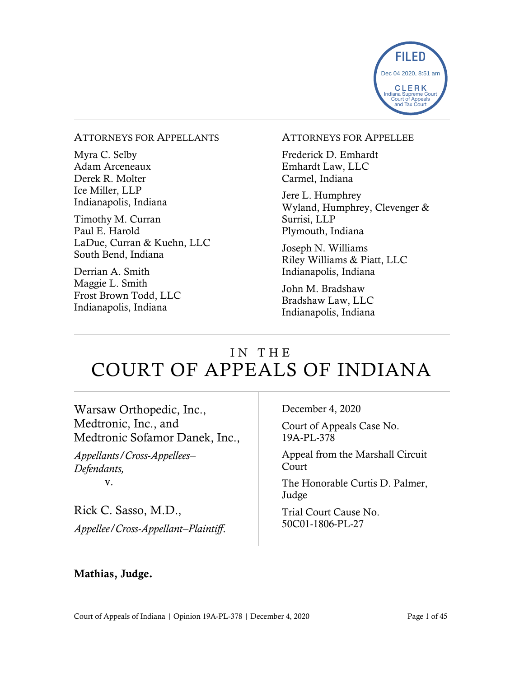

#### ATTORNEYS FOR APPELLANTS

Myra C. Selby Adam Arceneaux Derek R. Molter Ice Miller, LLP Indianapolis, Indiana

Timothy M. Curran Paul E. Harold LaDue, Curran & Kuehn, LLC South Bend, Indiana

Derrian A. Smith Maggie L. Smith Frost Brown Todd, LLC Indianapolis, Indiana

#### ATTORNEYS FOR APPELLEE

Frederick D. Emhardt Emhardt Law, LLC Carmel, Indiana

Jere L. Humphrey Wyland, Humphrey, Clevenger & Surrisi, LLP Plymouth, Indiana

Joseph N. Williams Riley Williams & Piatt, LLC Indianapolis, Indiana

John M. Bradshaw Bradshaw Law, LLC Indianapolis, Indiana

# IN THE COURT OF APPEALS OF INDIANA

Warsaw Orthopedic, Inc., Medtronic, Inc., and Medtronic Sofamor Danek, Inc.,

*Appellants/Cross-Appellees– Defendants,* v.

Rick C. Sasso, M.D., *Appellee/Cross-Appellant–Plaintiff*. December 4, 2020

Court of Appeals Case No. 19A-PL-378

Appeal from the Marshall Circuit Court

The Honorable Curtis D. Palmer, Judge

Trial Court Cause No. 50C01-1806-PL-27

### Mathias, Judge.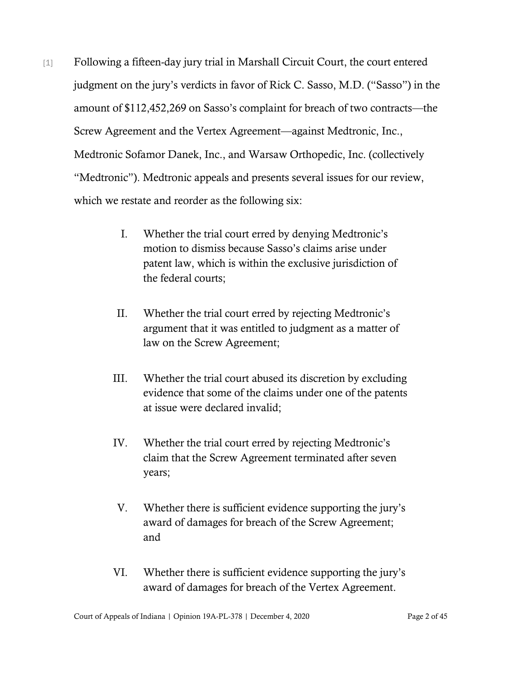- [1] Following a fifteen-day jury trial in Marshall Circuit Court, the court entered judgment on the jury's verdicts in favor of Rick C. Sasso, M.D. ("Sasso") in the amount of \$112,452,269 on Sasso's complaint for breach of two contracts—the Screw Agreement and the Vertex Agreement—against Medtronic, Inc., Medtronic Sofamor Danek, Inc., and Warsaw Orthopedic, Inc. (collectively "Medtronic"). Medtronic appeals and presents several issues for our review, which we restate and reorder as the following six:
	- I. Whether the trial court erred by denying Medtronic's motion to dismiss because Sasso's claims arise under patent law, which is within the exclusive jurisdiction of the federal courts;
	- II. Whether the trial court erred by rejecting Medtronic's argument that it was entitled to judgment as a matter of law on the Screw Agreement;
	- III. Whether the trial court abused its discretion by excluding evidence that some of the claims under one of the patents at issue were declared invalid;
	- IV. Whether the trial court erred by rejecting Medtronic's claim that the Screw Agreement terminated after seven years;
	- V. Whether there is sufficient evidence supporting the jury's award of damages for breach of the Screw Agreement; and
	- VI. Whether there is sufficient evidence supporting the jury's award of damages for breach of the Vertex Agreement.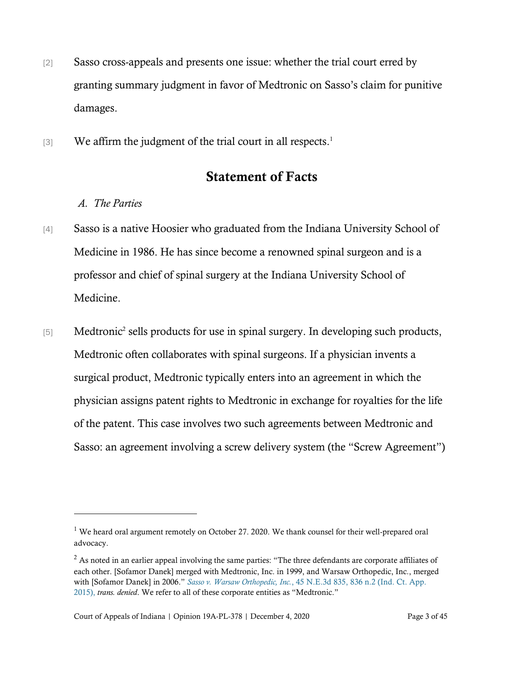- [2] Sasso cross-appeals and presents one issue: whether the trial court erred by granting summary judgment in favor of Medtronic on Sasso's claim for punitive damages.
- [3] We affirm the judgment of the trial court in all respects.<sup>1</sup>

## Statement of Facts

## *A. The Parties*

- [4] Sasso is a native Hoosier who graduated from the Indiana University School of Medicine in 1986. He has since become a renowned spinal surgeon and is a professor and chief of spinal surgery at the Indiana University School of Medicine.
- [5] Medtronic<sup>2</sup> sells products for use in spinal surgery. In developing such products, Medtronic often collaborates with spinal surgeons. If a physician invents a surgical product, Medtronic typically enters into an agreement in which the physician assigns patent rights to Medtronic in exchange for royalties for the life of the patent. This case involves two such agreements between Medtronic and Sasso: an agreement involving a screw delivery system (the "Screw Agreement")

 $1$  We heard oral argument remotely on October 27. 2020. We thank counsel for their well-prepared oral advocacy.

 $2$  As noted in an earlier appeal involving the same parties: "The three defendants are corporate affiliates of each other. [Sofamor Danek] merged with Medtronic, Inc. in 1999, and Warsaw Orthopedic, Inc., merged with [Sofamor Danek] in 2006." *Sasso v. Warsaw Orthopedic, Inc.*[, 45 N.E.3d 835, 836 n.2 \(Ind. Ct. App.](https://www.westlaw.com/Document/I065e80dc853711e5b4bafa136b480ad2/View/FullText.html?transitionType=Default&contextData=(sc.Default)&VR=3.0&RS=da3.0&fragmentIdentifier=co_pp_sp_7902_836+n.2)  [2015\),](https://www.westlaw.com/Document/I065e80dc853711e5b4bafa136b480ad2/View/FullText.html?transitionType=Default&contextData=(sc.Default)&VR=3.0&RS=da3.0&fragmentIdentifier=co_pp_sp_7902_836+n.2) *trans. denied*. We refer to all of these corporate entities as "Medtronic."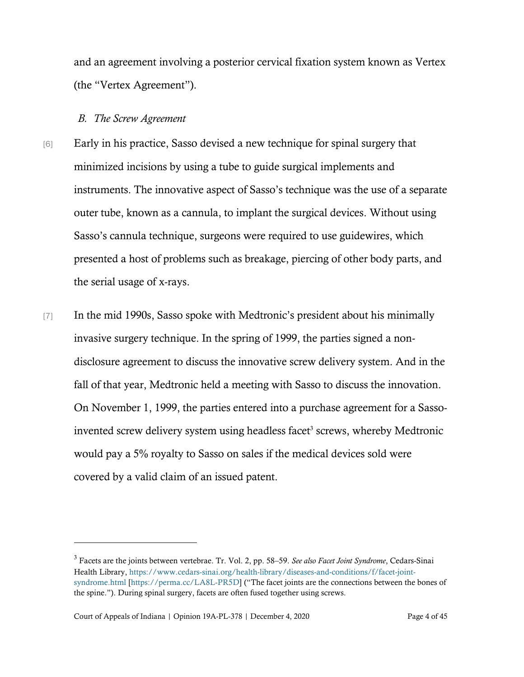and an agreement involving a posterior cervical fixation system known as Vertex (the "Vertex Agreement").

#### *B. The Screw Agreement*

- [6] Early in his practice, Sasso devised a new technique for spinal surgery that minimized incisions by using a tube to guide surgical implements and instruments. The innovative aspect of Sasso's technique was the use of a separate outer tube, known as a cannula, to implant the surgical devices. Without using Sasso's cannula technique, surgeons were required to use guidewires, which presented a host of problems such as breakage, piercing of other body parts, and the serial usage of x-rays.
- [7] In the mid 1990s, Sasso spoke with Medtronic's president about his minimally invasive surgery technique. In the spring of 1999, the parties signed a nondisclosure agreement to discuss the innovative screw delivery system. And in the fall of that year, Medtronic held a meeting with Sasso to discuss the innovation. On November 1, 1999, the parties entered into a purchase agreement for a Sassoinvented screw delivery system using headless facet<sup>3</sup> screws, whereby Medtronic would pay a 5% royalty to Sasso on sales if the medical devices sold were covered by a valid claim of an issued patent.

<sup>3</sup> Facets are the joints between vertebrae. Tr. Vol. 2, pp. 58–59. *See also Facet Joint Syndrome*, Cedars-Sinai Health Library, [https://www.cedars-sinai.org/health-library/diseases-and-conditions/f/facet-joint](https://www.cedars-sinai.org/health-library/diseases-and-conditions/f/facet-joint-syndrome.html)[syndrome.html](https://www.cedars-sinai.org/health-library/diseases-and-conditions/f/facet-joint-syndrome.html) [\[https://perma.cc/LA8L-PR5D\]](https://perma.cc/LA8L-PR5D) ("The facet joints are the connections between the bones of the spine."). During spinal surgery, facets are often fused together using screws.

Court of Appeals of Indiana | Opinion 19A-PL-378 | December 4, 2020 Page 4 of 45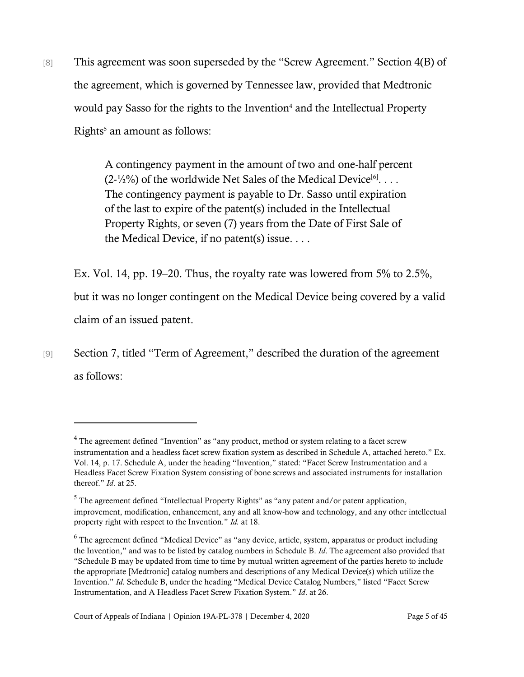[8] This agreement was soon superseded by the "Screw Agreement." Section 4(B) of the agreement, which is governed by Tennessee law, provided that Medtronic would pay Sasso for the rights to the Invention<sup>4</sup> and the Intellectual Property  $Right's$  an amount as follows:

> A contingency payment in the amount of two and one-half percent  $(2\frac{1}{2}\%)$  of the worldwide Net Sales of the Medical Device<sup>[6]</sup>... The contingency payment is payable to Dr. Sasso until expiration of the last to expire of the patent(s) included in the Intellectual Property Rights, or seven (7) years from the Date of First Sale of the Medical Device, if no patent(s) issue. . . .

Ex. Vol. 14, pp. 19–20. Thus, the royalty rate was lowered from 5% to 2.5%, but it was no longer contingent on the Medical Device being covered by a valid claim of an issued patent.

[9] Section 7, titled "Term of Agreement," described the duration of the agreement as follows:

<sup>4</sup> The agreement defined "Invention" as "any product, method or system relating to a facet screw instrumentation and a headless facet screw fixation system as described in Schedule A, attached hereto." Ex. Vol. 14, p. 17. Schedule A, under the heading "Invention," stated: "Facet Screw Instrumentation and a Headless Facet Screw Fixation System consisting of bone screws and associated instruments for installation thereof." *Id*. at 25.

<sup>&</sup>lt;sup>5</sup> The agreement defined "Intellectual Property Rights" as "any patent and/or patent application, improvement, modification, enhancement, any and all know-how and technology, and any other intellectual property right with respect to the Invention." *Id.* at 18.

<sup>&</sup>lt;sup>6</sup> The agreement defined "Medical Device" as "any device, article, system, apparatus or product including the Invention," and was to be listed by catalog numbers in Schedule B. *Id*. The agreement also provided that "Schedule B may be updated from time to time by mutual written agreement of the parties hereto to include the appropriate [Medtronic] catalog numbers and descriptions of any Medical Device(s) which utilize the Invention." *Id*. Schedule B, under the heading "Medical Device Catalog Numbers," listed "Facet Screw Instrumentation, and A Headless Facet Screw Fixation System." *Id*. at 26.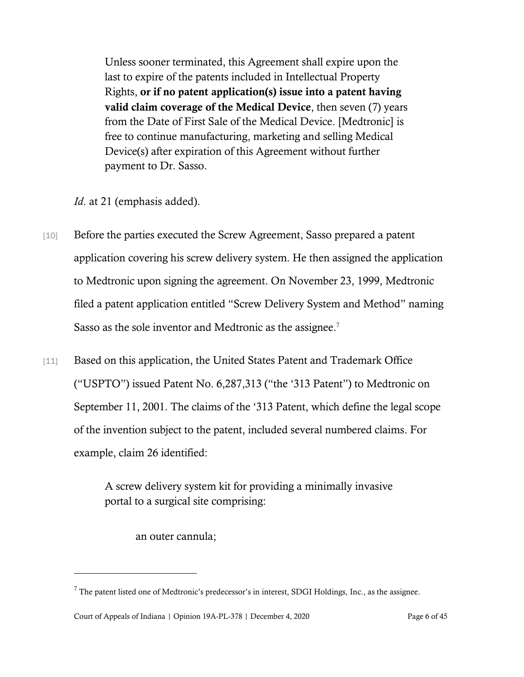Unless sooner terminated, this Agreement shall expire upon the last to expire of the patents included in Intellectual Property Rights, or if no patent application(s) issue into a patent having valid claim coverage of the Medical Device, then seven (7) years from the Date of First Sale of the Medical Device. [Medtronic] is free to continue manufacturing, marketing and selling Medical Device(s) after expiration of this Agreement without further payment to Dr. Sasso.

*Id*. at 21 (emphasis added).

- [10] Before the parties executed the Screw Agreement, Sasso prepared a patent application covering his screw delivery system. He then assigned the application to Medtronic upon signing the agreement. On November 23, 1999, Medtronic filed a patent application entitled "Screw Delivery System and Method" naming Sasso as the sole inventor and Medtronic as the assignee.<sup>7</sup>
- [11] Based on this application, the United States Patent and Trademark Office ("USPTO") issued [Patent No. 6,287,313](http://patft.uspto.gov/netacgi/nph-Parser?Sect1=PTO1&Sect2=HITOFF&d=PALL&p=1&u=%2Fnetahtml%2FPTO%2Fsrchnum.htm&r=1&f=G&l=50&s1=6,287,313.PN.&OS=PN/6,287,313&RS=PN/6,287,313) ("the '313 Patent") to Medtronic on September 11, 2001. The claims of the '313 Patent, which define the legal scope of the invention subject to the patent, included several numbered claims. For example, claim 26 identified:

A screw delivery system kit for providing a minimally invasive portal to a surgical site comprising:

an outer cannula;

 $7$  The patent listed one of Medtronic's predecessor's in interest, SDGI Holdings, Inc., as the assignee.

Court of Appeals of Indiana | Opinion 19A-PL-378 | December 4, 2020 Page 6 of 45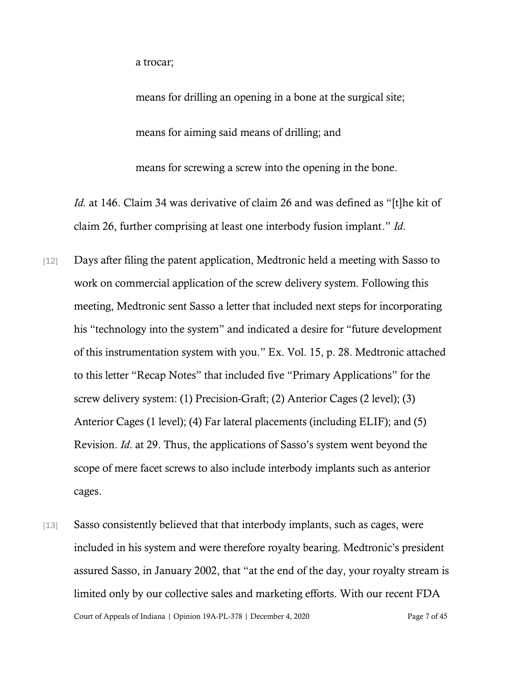a trocar;

means for drilling an opening in a bone at the surgical site; means for aiming said means of drilling; and means for screwing a screw into the opening in the bone.

*Id.* at 146. Claim 34 was derivative of claim 26 and was defined as "[t]he kit of claim 26, further comprising at least one interbody fusion implant." *Id*.

- [12] Days after filing the patent application, Medtronic held a meeting with Sasso to work on commercial application of the screw delivery system. Following this meeting, Medtronic sent Sasso a letter that included next steps for incorporating his "technology into the system" and indicated a desire for "future development of this instrumentation system with you." Ex. Vol. 15, p. 28. Medtronic attached to this letter "Recap Notes" that included five "Primary Applications" for the screw delivery system: (1) Precision-Graft; (2) Anterior Cages (2 level); (3) Anterior Cages (1 level); (4) Far lateral placements (including ELIF); and (5) Revision. *Id*. at 29. Thus, the applications of Sasso's system went beyond the scope of mere facet screws to also include interbody implants such as anterior cages.
- Court of Appeals of Indiana | Opinion 19A-PL-378 | December 4, 2020 Page 7 of 45 [13] Sasso consistently believed that that interbody implants, such as cages, were included in his system and were therefore royalty bearing. Medtronic's president assured Sasso, in January 2002, that "at the end of the day, your royalty stream is limited only by our collective sales and marketing efforts. With our recent FDA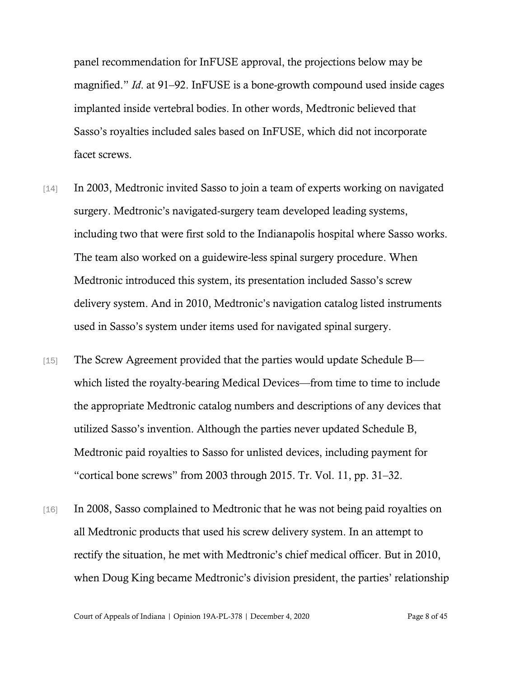panel recommendation for InFUSE approval, the projections below may be magnified." *Id*. at 91–92. InFUSE is a bone-growth compound used inside cages implanted inside vertebral bodies. In other words, Medtronic believed that Sasso's royalties included sales based on InFUSE, which did not incorporate facet screws.

- [14] In 2003, Medtronic invited Sasso to join a team of experts working on navigated surgery. Medtronic's navigated-surgery team developed leading systems, including two that were first sold to the Indianapolis hospital where Sasso works. The team also worked on a guidewire-less spinal surgery procedure. When Medtronic introduced this system, its presentation included Sasso's screw delivery system. And in 2010, Medtronic's navigation catalog listed instruments used in Sasso's system under items used for navigated spinal surgery.
- [15] The Screw Agreement provided that the parties would update Schedule B which listed the royalty-bearing Medical Devices—from time to time to include the appropriate Medtronic catalog numbers and descriptions of any devices that utilized Sasso's invention. Although the parties never updated Schedule B, Medtronic paid royalties to Sasso for unlisted devices, including payment for "cortical bone screws" from 2003 through 2015. Tr. Vol. 11, pp. 31–32.
- [16] In 2008, Sasso complained to Medtronic that he was not being paid royalties on all Medtronic products that used his screw delivery system. In an attempt to rectify the situation, he met with Medtronic's chief medical officer. But in 2010, when Doug King became Medtronic's division president, the parties' relationship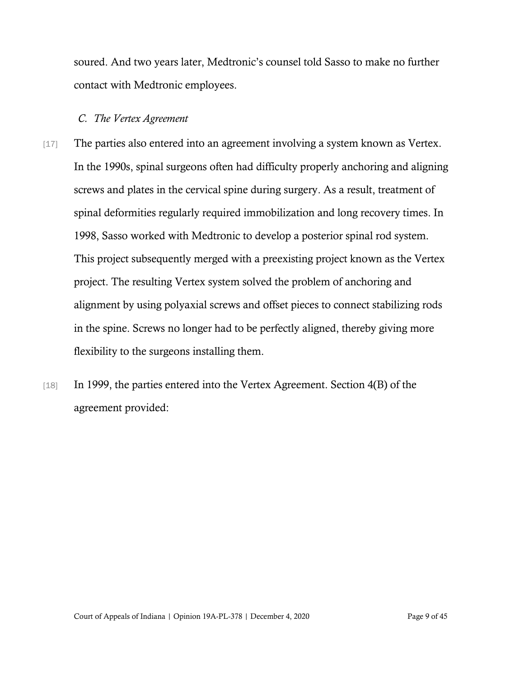soured. And two years later, Medtronic's counsel told Sasso to make no further contact with Medtronic employees.

#### *C. The Vertex Agreement*

- [17] The parties also entered into an agreement involving a system known as Vertex. In the 1990s, spinal surgeons often had difficulty properly anchoring and aligning screws and plates in the cervical spine during surgery. As a result, treatment of spinal deformities regularly required immobilization and long recovery times. In 1998, Sasso worked with Medtronic to develop a posterior spinal rod system. This project subsequently merged with a preexisting project known as the Vertex project. The resulting Vertex system solved the problem of anchoring and alignment by using polyaxial screws and offset pieces to connect stabilizing rods in the spine. Screws no longer had to be perfectly aligned, thereby giving more flexibility to the surgeons installing them.
- [18] In 1999, the parties entered into the Vertex Agreement. Section 4(B) of the agreement provided: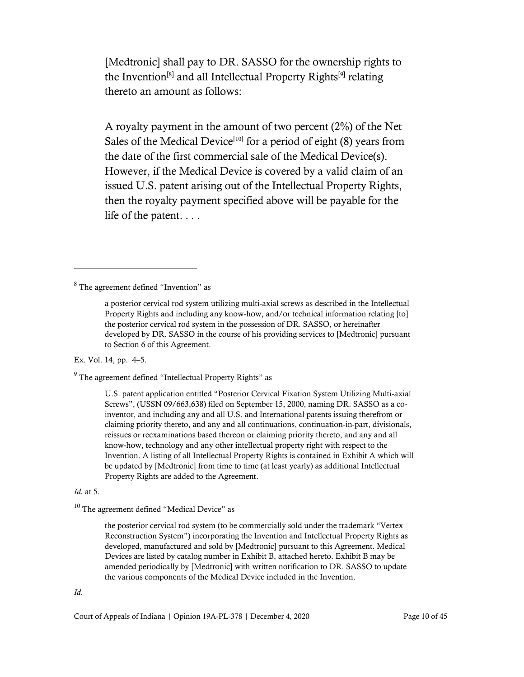[Medtronic] shall pay to DR. SASSO for the ownership rights to the Invention<sup>[8]</sup> and all Intellectual Property Rights<sup>[9]</sup> relating thereto an amount as follows:

A royalty payment in the amount of two percent (2%) of the Net Sales of the Medical Device<sup>[10]</sup> for a period of eight  $(8)$  years from the date of the first commercial sale of the Medical Device(s). However, if the Medical Device is covered by a valid claim of an issued U.S. patent arising out of the Intellectual Property Rights, then the royalty payment specified above will be payable for the life of the patent. . . .

<sup>8</sup> The agreement defined "Invention" as

Ex. Vol. 14, pp. 4–5.

<sup>9</sup> The agreement defined "Intellectual Property Rights" as

U.S. patent application entitled "Posterior Cervical Fixation System Utilizing Multi-axial Screws", (USSN 09/663,638) filed on September 15, 2000, naming DR. SASSO as a coinventor, and including any and all U.S. and International patents issuing therefrom or claiming priority thereto, and any and all continuations, continuation-in-part, divisionals, reissues or reexaminations based thereon or claiming priority thereto, and any and all know-how, technology and any other intellectual property right with respect to the Invention. A listing of all Intellectual Property Rights is contained in Exhibit A which will be updated by [Medtronic] from time to time (at least yearly) as additional Intellectual Property Rights are added to the Agreement.

*Id.* at 5.

<sup>10</sup> The agreement defined "Medical Device" as

the posterior cervical rod system (to be commercially sold under the trademark "Vertex Reconstruction System") incorporating the Invention and Intellectual Property Rights as developed, manufactured and sold by [Medtronic] pursuant to this Agreement. Medical Devices are listed by catalog number in Exhibit B, attached hereto. Exhibit B may be amended periodically by [Medtronic] with written notification to DR. SASSO to update the various components of the Medical Device included in the Invention.

*Id*.

a posterior cervical rod system utilizing multi-axial screws as described in the Intellectual Property Rights and including any know-how, and/or technical information relating [to] the posterior cervical rod system in the possession of DR. SASSO, or hereinafter developed by DR. SASSO in the course of his providing services to [Medtronic] pursuant to Section 6 of this Agreement.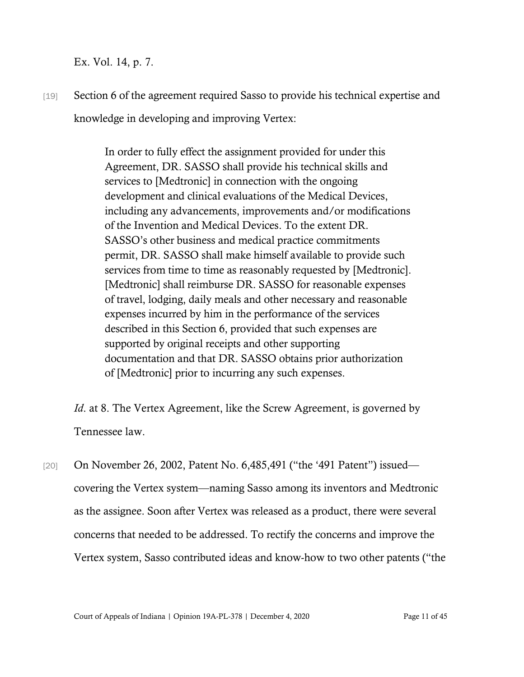Ex. Vol. 14, p. 7.

[19] Section 6 of the agreement required Sasso to provide his technical expertise and knowledge in developing and improving Vertex:

> In order to fully effect the assignment provided for under this Agreement, DR. SASSO shall provide his technical skills and services to [Medtronic] in connection with the ongoing development and clinical evaluations of the Medical Devices, including any advancements, improvements and/or modifications of the Invention and Medical Devices. To the extent DR. SASSO's other business and medical practice commitments permit, DR. SASSO shall make himself available to provide such services from time to time as reasonably requested by [Medtronic]. [Medtronic] shall reimburse DR. SASSO for reasonable expenses of travel, lodging, daily meals and other necessary and reasonable expenses incurred by him in the performance of the services described in this Section 6, provided that such expenses are supported by original receipts and other supporting documentation and that DR. SASSO obtains prior authorization of [Medtronic] prior to incurring any such expenses.

*Id.* at 8. The Vertex Agreement, like the Screw Agreement, is governed by Tennessee law.

[20] On November 26, 2002, Patent No. 6,485,491 ("the '491 Patent") issued covering the Vertex system—naming Sasso among its inventors and Medtronic as the assignee. Soon after Vertex was released as a product, there were several concerns that needed to be addressed. To rectify the concerns and improve the Vertex system, Sasso contributed ideas and know-how to two other patents ("the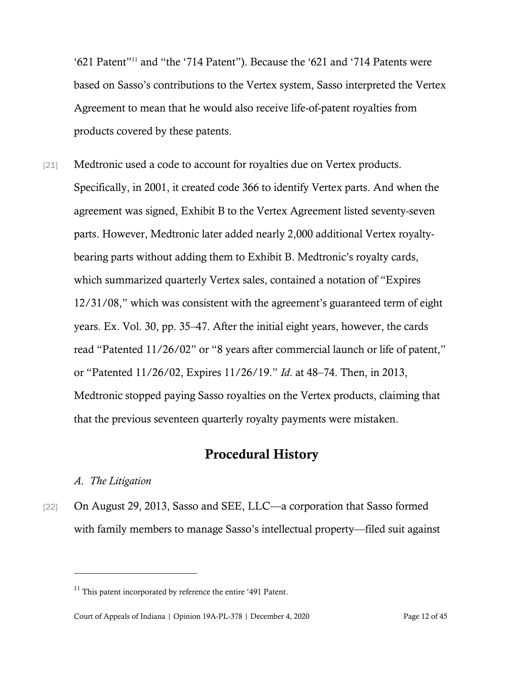'621 Patent"<sup>11</sup> and "the '714 Patent"). Because the '621 and '714 Patents were based on Sasso's contributions to the Vertex system, Sasso interpreted the Vertex Agreement to mean that he would also receive life-of-patent royalties from products covered by these patents.

[21] Medtronic used a code to account for royalties due on Vertex products. Specifically, in 2001, it created code 366 to identify Vertex parts. And when the agreement was signed, Exhibit B to the Vertex Agreement listed seventy-seven parts. However, Medtronic later added nearly 2,000 additional Vertex royaltybearing parts without adding them to Exhibit B. Medtronic's royalty cards, which summarized quarterly Vertex sales, contained a notation of "Expires 12/31/08," which was consistent with the agreement's guaranteed term of eight years. Ex. Vol. 30, pp. 35–47. After the initial eight years, however, the cards read "Patented 11/26/02" or "8 years after commercial launch or life of patent," or "Patented 11/26/02, Expires 11/26/19." *Id*. at 48–74. Then, in 2013, Medtronic stopped paying Sasso royalties on the Vertex products, claiming that that the previous seventeen quarterly royalty payments were mistaken.

## Procedural History

#### *A. The Litigation*

[22] On August 29, 2013, Sasso and SEE, LLC—a corporation that Sasso formed with family members to manage Sasso's intellectual property—filed suit against

 $11$  This patent incorporated by reference the entire '491 Patent.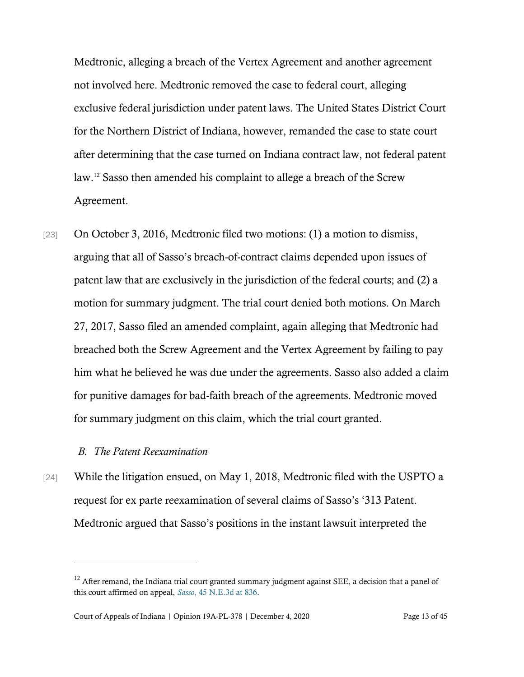Medtronic, alleging a breach of the Vertex Agreement and another agreement not involved here. Medtronic removed the case to federal court, alleging exclusive federal jurisdiction under patent laws. The United States District Court for the Northern District of Indiana, however, remanded the case to state court after determining that the case turned on Indiana contract law, not federal patent law.<sup>12</sup> Sasso then amended his complaint to allege a breach of the Screw Agreement.

[23] On October 3, 2016, Medtronic filed two motions: (1) a motion to dismiss, arguing that all of Sasso's breach-of-contract claims depended upon issues of patent law that are exclusively in the jurisdiction of the federal courts; and (2) a motion for summary judgment. The trial court denied both motions. On March 27, 2017, Sasso filed an amended complaint, again alleging that Medtronic had breached both the Screw Agreement and the Vertex Agreement by failing to pay him what he believed he was due under the agreements. Sasso also added a claim for punitive damages for bad-faith breach of the agreements. Medtronic moved for summary judgment on this claim, which the trial court granted.

#### *B. The Patent Reexamination*

[24] While the litigation ensued, on May 1, 2018, Medtronic filed with the USPTO a request for ex parte reexamination of several claims of Sasso's '313 Patent. Medtronic argued that Sasso's positions in the instant lawsuit interpreted the

<sup>&</sup>lt;sup>12</sup> After remand, the Indiana trial court granted summary judgment against SEE, a decision that a panel of this court affirmed on appeal, *Sasso*[, 45 N.E.3d at 836.](https://www.westlaw.com/Document/I065e80dc853711e5b4bafa136b480ad2/View/FullText.html?transitionType=Default&contextData=(sc.Default)&VR=3.0&RS=da3.0&fragmentIdentifier=co_pp_sp_7902_836)

Court of Appeals of Indiana | Opinion 19A-PL-378 | December 4, 2020 Page 13 of 45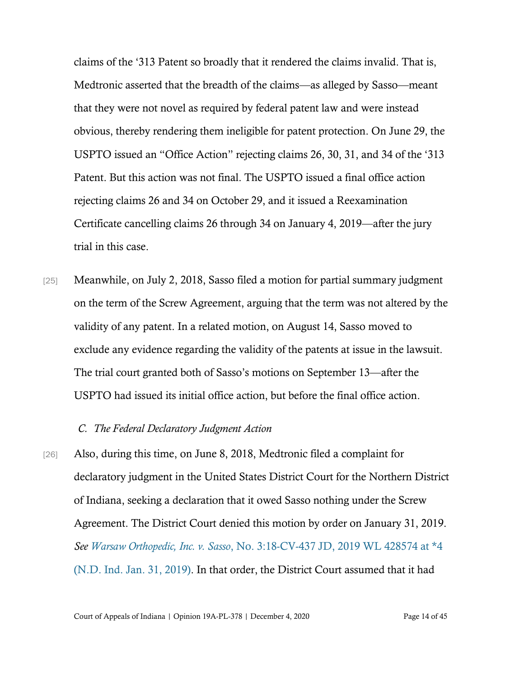claims of the '313 Patent so broadly that it rendered the claims invalid. That is, Medtronic asserted that the breadth of the claims—as alleged by Sasso—meant that they were not novel as required by federal patent law and were instead obvious, thereby rendering them ineligible for patent protection. On June 29, the USPTO issued an "Office Action" rejecting claims 26, 30, 31, and 34 of the '313 Patent. But this action was not final. The USPTO issued a final office action rejecting claims 26 and 34 on October 29, and it issued a Reexamination Certificate cancelling claims 26 through 34 on January 4, 2019—after the jury trial in this case.

[25] Meanwhile, on July 2, 2018, Sasso filed a motion for partial summary judgment on the term of the Screw Agreement, arguing that the term was not altered by the validity of any patent. In a related motion, on August 14, Sasso moved to exclude any evidence regarding the validity of the patents at issue in the lawsuit. The trial court granted both of Sasso's motions on September 13—after the USPTO had issued its initial office action, but before the final office action.

#### *C. The Federal Declaratory Judgment Action*

[26] Also, during this time, on June 8, 2018, Medtronic filed a complaint for declaratory judgment in the United States District Court for the Northern District of Indiana, seeking a declaration that it owed Sasso nothing under the Screw Agreement. The District Court denied this motion by order on January 31, 2019. *See Warsaw Orthopedic, Inc. v. Sasso*[, No. 3:18-CV-437 JD, 2019 WL 428574 at \\*4](https://www.westlaw.com/Document/Ide26eca0293111e9bda4c132358d93d4/View/FullText.html?transitionType=Default&contextData=(sc.Default)&VR=3.0&RS=da3.0&fragmentIdentifier=co_pp_sp_999_4)  [\(N.D. Ind. Jan. 31, 2019\).](https://www.westlaw.com/Document/Ide26eca0293111e9bda4c132358d93d4/View/FullText.html?transitionType=Default&contextData=(sc.Default)&VR=3.0&RS=da3.0&fragmentIdentifier=co_pp_sp_999_4) In that order, the District Court assumed that it had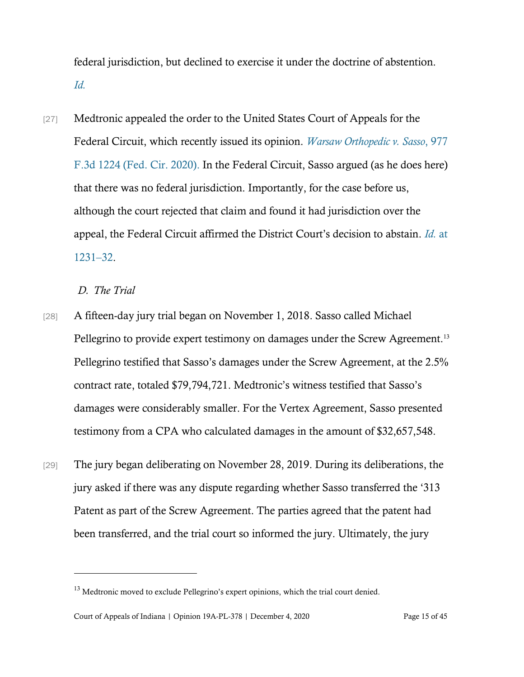federal jurisdiction, but declined to exercise it under the doctrine of abstention. *[Id.](https://www.westlaw.com/Document/Ide26eca0293111e9bda4c132358d93d4/View/FullText.html?transitionType=Default&contextData=(sc.Default)&VR=3.0&RS=da3.0&fragmentIdentifier=co_pp_sp_999_4)*

[27] Medtronic appealed the order to the United States Court of Appeals for the Federal Circuit, which recently issued its opinion. *[Warsaw Orthopedic v. Sasso](https://www.westlaw.com/Document/Id95835800e6311eba9128435efc93e75/View/FullText.html?transitionType=Default&contextData=(sc.Default)&VR=3.0&RS=da3.0)*, 977 [F.3d 1224 \(Fed. Cir. 2020\).](https://www.westlaw.com/Document/Id95835800e6311eba9128435efc93e75/View/FullText.html?transitionType=Default&contextData=(sc.Default)&VR=3.0&RS=da3.0) In the Federal Circuit, Sasso argued (as he does here) that there was no federal jurisdiction. Importantly, for the case before us, although the court rejected that claim and found it had jurisdiction over the appeal, the Federal Circuit affirmed the District Court's decision to abstain. *[Id.](https://www.westlaw.com/Document/Id95835800e6311eba9128435efc93e75/View/FullText.html?transitionType=Default&contextData=(sc.Default)&VR=3.0&RS=da3.0&fragmentIdentifier=co_pp_sp_506_1231)* at [1231](https://www.westlaw.com/Document/Id95835800e6311eba9128435efc93e75/View/FullText.html?transitionType=Default&contextData=(sc.Default)&VR=3.0&RS=da3.0&fragmentIdentifier=co_pp_sp_506_1231)–32.

#### *D. The Trial*

- [28] A fifteen-day jury trial began on November 1, 2018. Sasso called Michael Pellegrino to provide expert testimony on damages under the Screw Agreement.<sup>13</sup> Pellegrino testified that Sasso's damages under the Screw Agreement, at the 2.5% contract rate, totaled \$79,794,721. Medtronic's witness testified that Sasso's damages were considerably smaller. For the Vertex Agreement, Sasso presented testimony from a CPA who calculated damages in the amount of \$32,657,548.
- [29] The jury began deliberating on November 28, 2019. During its deliberations, the jury asked if there was any dispute regarding whether Sasso transferred the '313 Patent as part of the Screw Agreement. The parties agreed that the patent had been transferred, and the trial court so informed the jury. Ultimately, the jury

<sup>&</sup>lt;sup>13</sup> Medtronic moved to exclude Pellegrino's expert opinions, which the trial court denied.

Court of Appeals of Indiana | Opinion 19A-PL-378 | December 4, 2020 Page 15 of 45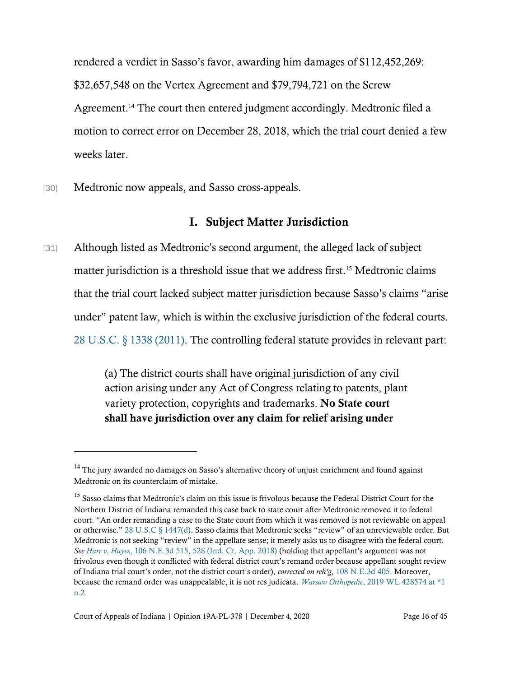rendered a verdict in Sasso's favor, awarding him damages of \$112,452,269: \$32,657,548 on the Vertex Agreement and \$79,794,721 on the Screw Agreement.<sup>14</sup> The court then entered judgment accordingly. Medtronic filed a motion to correct error on December 28, 2018, which the trial court denied a few weeks later.

[30] Medtronic now appeals, and Sasso cross-appeals.

## I. Subject Matter Jurisdiction

[31] Although listed as Medtronic's second argument, the alleged lack of subject matter jurisdiction is a threshold issue that we address first.<sup>15</sup> Medtronic claims that the trial court lacked subject matter jurisdiction because Sasso's claims "arise under" patent law, which is within the exclusive jurisdiction of the federal courts. [28 U.S.C. § 1338 \(2011\).](https://www.westlaw.com/Document/NCE7D9F90EAE311E08B48E2811831D783/View/FullText.html?transitionType=Default&contextData=(sc.Default)&VR=3.0&RS=da3.0) The controlling federal statute provides in relevant part:

> (a) The district courts shall have original jurisdiction of any civil action arising under any Act of Congress relating to patents, plant variety protection, copyrights and trademarks. No State court shall have jurisdiction over any claim for relief arising under

 $^{14}$  The jury awarded no damages on Sasso's alternative theory of unjust enrichment and found against Medtronic on its counterclaim of mistake.

<sup>&</sup>lt;sup>15</sup> Sasso claims that Medtronic's claim on this issue is frivolous because the Federal District Court for the Northern District of Indiana remanded this case back to state court after Medtronic removed it to federal court. "An order remanding a case to the State court from which it was removed is not reviewable on appeal or otherwise." [28 U.S.C § 1447\(d\)](https://www.westlaw.com/Document/ND6F78B30149711E1A7F78D1F2D4D2473/View/FullText.html?transitionType=Default&contextData=(sc.Default)&VR=3.0&RS=da3.0). Sasso claims that Medtronic seeks "review" of an unreviewable order. But Medtronic is not seeking "review" in the appellate sense; it merely asks us to disagree with the federal court. *See Harr v. Hayes*[, 106 N.E.3d 515, 528 \(Ind. Ct. App. 2018\)](https://www.westlaw.com/Document/Iaff061507eef11e88d669565240b92b2/View/FullText.html?transitionType=Default&contextData=(sc.Default)&VR=3.0&RS=da3.0&fragmentIdentifier=co_pp_sp_7902_528) (holding that appellant's argument was not frivolous even though it conflicted with federal district court's remand order because appellant sought review of Indiana trial court's order, not the district court's order), *corrected on reh'g*[, 108 N.E.3d 405.](https://www.westlaw.com/Document/I135322b0a69a11e8943bb2cb5f7224e8/View/FullText.html?transitionType=Default&contextData=(sc.Default)&VR=3.0&RS=da3.0) Moreover, because the remand order was unappealable, it is not res judicata. *Warsaw Orthopedic*[, 2019 WL 428574 at \\*1](https://www.westlaw.com/Document/Ide26eca0293111e9bda4c132358d93d4/View/FullText.html?transitionType=Default&contextData=(sc.Default)&VR=3.0&RS=da3.0&fragmentIdentifier=co_pp_sp_999_1)  [n.2.](https://www.westlaw.com/Document/Ide26eca0293111e9bda4c132358d93d4/View/FullText.html?transitionType=Default&contextData=(sc.Default)&VR=3.0&RS=da3.0&fragmentIdentifier=co_pp_sp_999_1)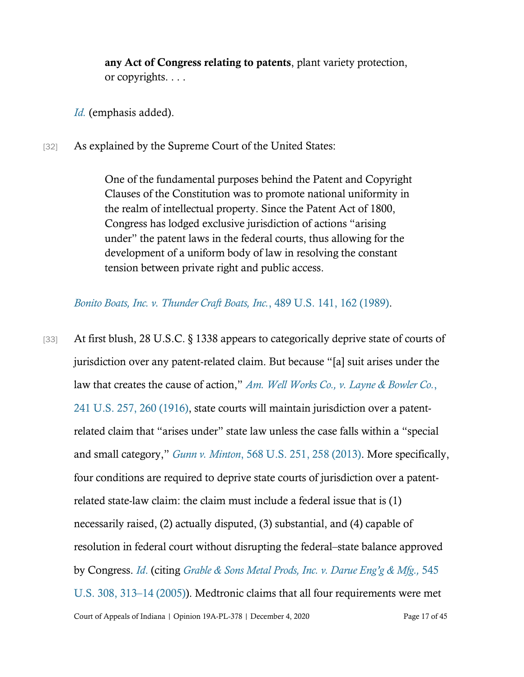any Act of Congress relating to patents, plant variety protection, or copyrights. . . .

*[Id.](https://www.westlaw.com/Document/NCE7D9F90EAE311E08B48E2811831D783/View/FullText.html?transitionType=Default&contextData=(sc.Default)&VR=3.0&RS=da3.0)* (emphasis added).

[32] As explained by the Supreme Court of the United States:

One of the fundamental purposes behind the Patent and Copyright Clauses of the Constitution was to promote national uniformity in the realm of intellectual property. Since the Patent Act of 1800, Congress has lodged exclusive jurisdiction of actions "arising under" the patent laws in the federal courts, thus allowing for the development of a uniform body of law in resolving the constant tension between private right and public access.

*[Bonito Boats, Inc. v. Thunder Craft Boats, Inc.](https://www.westlaw.com/Document/I319435e29c2511d9bdd1cfdd544ca3a4/View/FullText.html?transitionType=Default&contextData=(sc.Default)&VR=3.0&RS=da3.0&fragmentIdentifier=co_pp_sp_780_162)*, 489 U.S. 141, 162 (1989).

Court of Appeals of Indiana | Opinion 19A-PL-378 | December 4, 2020 Page 17 of 45 [33] At first blush, 28 U.S.C. § 1338 appears to categorically deprive state of courts of jurisdiction over any patent-related claim. But because "[a] suit arises under the law that creates the cause of action," *[Am. Well Works Co., v. Layne & Bowler Co.](https://www.westlaw.com/Document/If3268bad9cba11d9a707f4371c9c34f0/View/FullText.html?transitionType=Default&contextData=(sc.Default)&VR=3.0&RS=cblt1.0)*, [241 U.S. 257, 260 \(1916\),](https://www.westlaw.com/Document/If3268bad9cba11d9a707f4371c9c34f0/View/FullText.html?transitionType=Default&contextData=(sc.Default)&VR=3.0&RS=cblt1.0) state courts will maintain jurisdiction over a patentrelated claim that "arises under" state law unless the case falls within a "special and small category," *Gunn v. Minton*[, 568 U.S. 251, 258 \(2013\).](https://www.westlaw.com/Document/Id7bdad407b6d11e280719c3f0e80bdd0/View/FullText.html?transitionType=Default&contextData=(sc.Default)&VR=3.0&RS=da3.0&fragmentIdentifier=co_pp_sp_780_258) More specifically, four conditions are required to deprive state courts of jurisdiction over a patentrelated state-law claim: the claim must include a federal issue that is (1) necessarily raised, (2) actually disputed, (3) substantial, and (4) capable of resolution in federal court without disrupting the federal–state balance approved by Congress. *[Id](https://www.westlaw.com/Document/Id7bdad407b6d11e280719c3f0e80bdd0/View/FullText.html?transitionType=Default&contextData=(sc.Default)&VR=3.0&RS=da3.0&fragmentIdentifier=co_pp_sp_780_258)*. (citing *[Grable & Sons Metal Prods, Inc. v. Darue Eng](https://www.westlaw.com/Document/Id4e1c90ddc0e11d983e7e9deff98dc6f/View/FullText.html?transitionType=Default&contextData=(sc.Default)&VR=3.0&RS=da3.0&fragmentIdentifier=co_pp_sp_780_313)'g & Mfg.,* 545 [U.S. 308, 313](https://www.westlaw.com/Document/Id4e1c90ddc0e11d983e7e9deff98dc6f/View/FullText.html?transitionType=Default&contextData=(sc.Default)&VR=3.0&RS=da3.0&fragmentIdentifier=co_pp_sp_780_313)–14 (2005)). Medtronic claims that all four requirements were met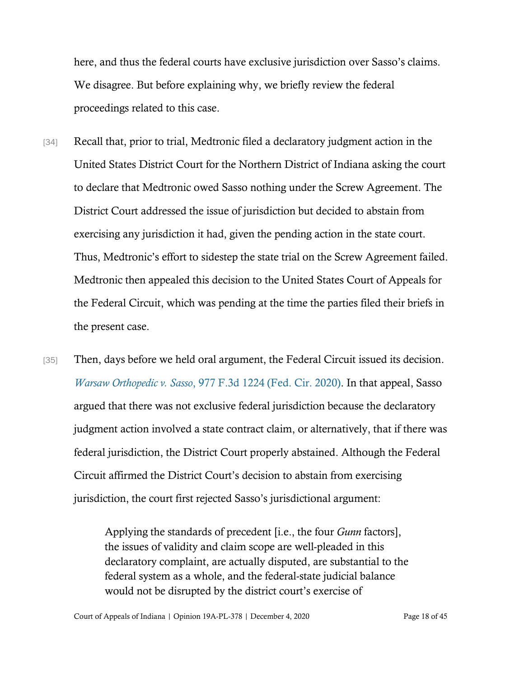here, and thus the federal courts have exclusive jurisdiction over Sasso's claims. We disagree. But before explaining why, we briefly review the federal proceedings related to this case.

- [34] Recall that, prior to trial, Medtronic filed a declaratory judgment action in the United States District Court for the Northern District of Indiana asking the court to declare that Medtronic owed Sasso nothing under the Screw Agreement. The District Court addressed the issue of jurisdiction but decided to abstain from exercising any jurisdiction it had, given the pending action in the state court. Thus, Medtronic's effort to sidestep the state trial on the Screw Agreement failed. Medtronic then appealed this decision to the United States Court of Appeals for the Federal Circuit, which was pending at the time the parties filed their briefs in the present case.
- [35] Then, days before we held oral argument, the Federal Circuit issued its decision. *Warsaw Orthopedic v. Sasso*[, 977 F.3d 1224 \(Fed. Cir. 2020\).](https://www.westlaw.com/Document/Id95835800e6311eba9128435efc93e75/View/FullText.html?transitionType=Default&contextData=(sc.Default)&VR=3.0&RS=da3.0) In that appeal, Sasso argued that there was not exclusive federal jurisdiction because the declaratory judgment action involved a state contract claim, or alternatively, that if there was federal jurisdiction, the District Court properly abstained. Although the Federal Circuit affirmed the District Court's decision to abstain from exercising jurisdiction, the court first rejected Sasso's jurisdictional argument:

Applying the standards of precedent [i.e., the four *Gunn* factors], the issues of validity and claim scope are well-pleaded in this declaratory complaint, are actually disputed, are substantial to the federal system as a whole, and the federal-state judicial balance would not be disrupted by the district court's exercise of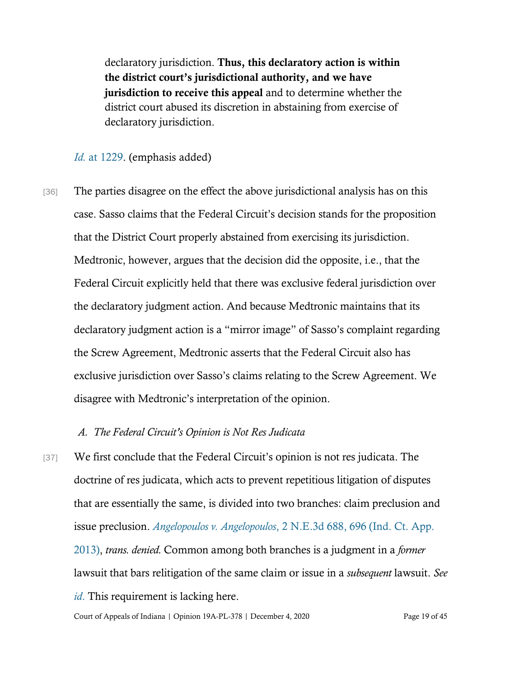declaratory jurisdiction. Thus, this declaratory action is within the district court's jurisdictional authority, and we have jurisdiction to receive this appeal and to determine whether the district court abused its discretion in abstaining from exercise of declaratory jurisdiction.

#### *Id.* [at 1229.](https://www.westlaw.com/Document/Id95835800e6311eba9128435efc93e75/View/FullText.html?transitionType=Default&contextData=(sc.Default)&VR=3.0&RS=da3.0&fragmentIdentifier=co_pp_sp_506_1229) (emphasis added)

[36] The parties disagree on the effect the above jurisdictional analysis has on this case. Sasso claims that the Federal Circuit's decision stands for the proposition that the District Court properly abstained from exercising its jurisdiction. Medtronic, however, argues that the decision did the opposite, i.e., that the Federal Circuit explicitly held that there was exclusive federal jurisdiction over the declaratory judgment action. And because Medtronic maintains that its declaratory judgment action is a "mirror image" of Sasso's complaint regarding the Screw Agreement, Medtronic asserts that the Federal Circuit also has exclusive jurisdiction over Sasso's claims relating to the Screw Agreement. We disagree with Medtronic's interpretation of the opinion.

#### *A. The Federal Circuit's Opinion is Not Res Judicata*

[37] We first conclude that the Federal Circuit's opinion is not res judicata. The doctrine of res judicata, which acts to prevent repetitious litigation of disputes that are essentially the same, is divided into two branches: claim preclusion and issue preclusion. *Angelopoulos v. Angelopoulos*[, 2 N.E.3d 688, 696 \(Ind. Ct. App.](https://www.westlaw.com/Document/I6c5892eb423911e38912df21cb42a557/View/FullText.html?transitionType=Default&contextData=(sc.Default)&VR=3.0&RS=da3.0&fragmentIdentifier=co_pp_sp_7902_696)  [2013\),](https://www.westlaw.com/Document/I6c5892eb423911e38912df21cb42a557/View/FullText.html?transitionType=Default&contextData=(sc.Default)&VR=3.0&RS=da3.0&fragmentIdentifier=co_pp_sp_7902_696) *trans. denied.* Common among both branches is a judgment in a *former* lawsuit that bars relitigation of the same claim or issue in a *subsequent* lawsuit. *See id*. This requirement is lacking here.

[Cou](https://www.westlaw.com/Document/I6c5892eb423911e38912df21cb42a557/View/FullText.html?transitionType=Default&contextData=(sc.Default)&VR=3.0&RS=da3.0&fragmentIdentifier=co_pp_sp_7902_696)rt of Appeals of Indiana | Opinion 19A-PL-378 | December 4, 2020 Page 19 of 45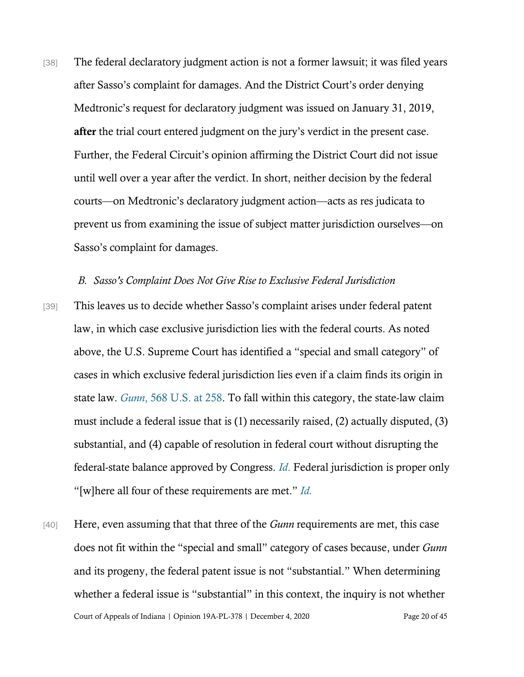[38] The federal declaratory judgment action is not a former lawsuit; it was filed years after Sasso's complaint for damages. And the District Court's order denying Medtronic's request for declaratory judgment was issued on January 31, 2019, after the trial court entered judgment on the jury's verdict in the present case. Further, the Federal Circuit's opinion affirming the District Court did not issue until well over a year after the verdict. In short, neither decision by the federal courts—on Medtronic's declaratory judgment action—acts as res judicata to prevent us from examining the issue of subject matter jurisdiction ourselves—on Sasso's complaint for damages.

#### *B. Sasso's Complaint Does Not Give Rise to Exclusive Federal Jurisdiction*

- [39] This leaves us to decide whether Sasso's complaint arises under federal patent law, in which case exclusive jurisdiction lies with the federal courts. As noted above, the U.S. Supreme Court has identified a "special and small category" of cases in which exclusive federal jurisdiction lies even if a claim finds its origin in state law. *Gunn*[, 568 U.S. at 258.](https://www.westlaw.com/Document/Id7bdad407b6d11e280719c3f0e80bdd0/View/FullText.html?transitionType=Default&contextData=(sc.Default)&VR=3.0&RS=da3.0&fragmentIdentifier=co_pp_sp_780_258) To fall within this category, the state-law claim must include a federal issue that is (1) necessarily raised, (2) actually disputed, (3) substantial, and (4) capable of resolution in federal court without disrupting the federal-state balance approved by Congress. *[Id](https://www.westlaw.com/Document/Id7bdad407b6d11e280719c3f0e80bdd0/View/FullText.html?transitionType=Default&contextData=(sc.Default)&VR=3.0&RS=da3.0&fragmentIdentifier=co_pp_sp_780_258/)*. Federal jurisdiction is proper only "[w]here all four of these requirements are met." *[Id.](https://www.westlaw.com/Document/Id7bdad407b6d11e280719c3f0e80bdd0/View/FullText.html?transitionType=Default&contextData=(sc.Default)&VR=3.0&RS=da3.0&fragmentIdentifier=co_pp_sp_780_258)*
- Court of Appeals of Indiana | Opinion 19A-PL-378 | December 4, 2020 Page 20 of 45 [40] Here, even assuming that that three of the *Gunn* requirements are met, this case does not fit within the "special and small" category of cases because, under *Gunn* and its progeny, the federal patent issue is not "substantial." When determining whether a federal issue is "substantial" in this context, the inquiry is not whether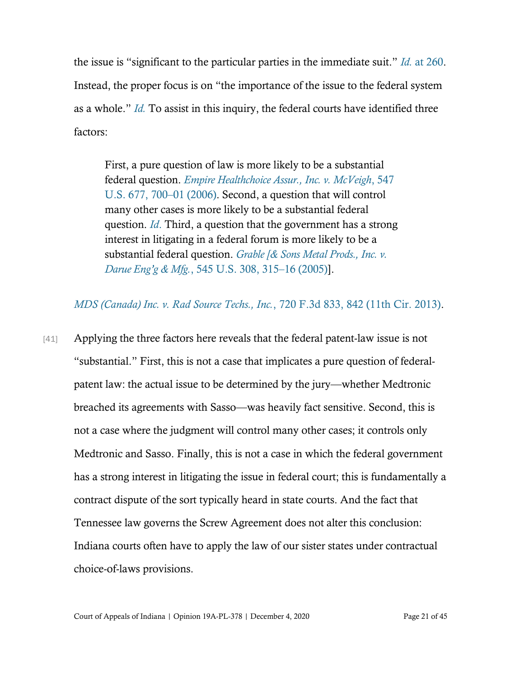the issue is "significant to the particular parties in the immediate suit." *Id.* [at 260.](https://www.westlaw.com/Document/Id7bdad407b6d11e280719c3f0e80bdd0/View/FullText.html?transitionType=Default&contextData=(sc.Default)&VR=3.0&RS=da3.0&fragmentIdentifier=co_pp_sp_780_260) Instead, the proper focus is on "the importance of the issue to the federal system as a whole." *[Id.](https://www.westlaw.com/Document/Id7bdad407b6d11e280719c3f0e80bdd0/View/FullText.html?transitionType=Default&contextData=(sc.Default)&VR=3.0&RS=da3.0&fragmentIdentifier=co_pp_sp_780_260)* To assist in this inquiry, the federal courts have identified three factors:

First, a pure question of law is more likely to be a substantial federal question. *[Empire Healthchoice Assur., Inc. v. McVeigh](https://www.westlaw.com/Document/I54ffaf15fc6511da8b56def3c325596e/View/FullText.html?transitionType=Default&contextData=(sc.Default)&VR=3.0&RS=da3.0&fragmentIdentifier=co_pp_sp_780_700)*, 547 [U.S. 677, 700](https://www.westlaw.com/Document/I54ffaf15fc6511da8b56def3c325596e/View/FullText.html?transitionType=Default&contextData=(sc.Default)&VR=3.0&RS=da3.0&fragmentIdentifier=co_pp_sp_780_700)–01 (2006). Second, a question that will control many other cases is more likely to be a substantial federal question. *[Id](https://www.westlaw.com/Document/I54ffaf15fc6511da8b56def3c325596e/View/FullText.html?transitionType=Default&contextData=(sc.Default)&VR=3.0&RS=da3.0&fragmentIdentifier=co_pp_sp_780_700)*. Third, a question that the government has a strong interest in litigating in a federal forum is more likely to be a substantial federal question. *[Grable \[& Sons Metal Prods., Inc. v.](https://www.westlaw.com/Document/Id4e1c90ddc0e11d983e7e9deff98dc6f/View/FullText.html?transitionType=Default&contextData=(sc.Default)&VR=3.0&RS=da3.0&fragmentIdentifier=co_pp_sp_780_315)  Darue Eng'g & Mfg.*[, 545 U.S. 308, 315](https://www.westlaw.com/Document/Id4e1c90ddc0e11d983e7e9deff98dc6f/View/FullText.html?transitionType=Default&contextData=(sc.Default)&VR=3.0&RS=da3.0&fragmentIdentifier=co_pp_sp_780_315)–16 (2005)].

*[MDS \(Canada\) Inc. v. Rad Source Techs., Inc.](https://www.westlaw.com/Document/I099f0257e26b11e2981fa20c4f198a69/View/FullText.html?transitionType=Default&contextData=(sc.Default)&VR=3.0&RS=da3.0&fragmentIdentifier=co_pp_sp_506_842)*, 720 F.3d 833, 842 (11th Cir. 2013).

[41] Applying the three factors here reveals that the federal patent-law issue is not "substantial." First, this is not a case that implicates a pure question of federalpatent law: the actual issue to be determined by the jury—whether Medtronic breached its agreements with Sasso—was heavily fact sensitive. Second, this is not a case where the judgment will control many other cases; it controls only Medtronic and Sasso. Finally, this is not a case in which the federal government has a strong interest in litigating the issue in federal court; this is fundamentally a contract dispute of the sort typically heard in state courts. And the fact that Tennessee law governs the Screw Agreement does not alter this conclusion: Indiana courts often have to apply the law of our sister states under contractual choice-of-laws provisions.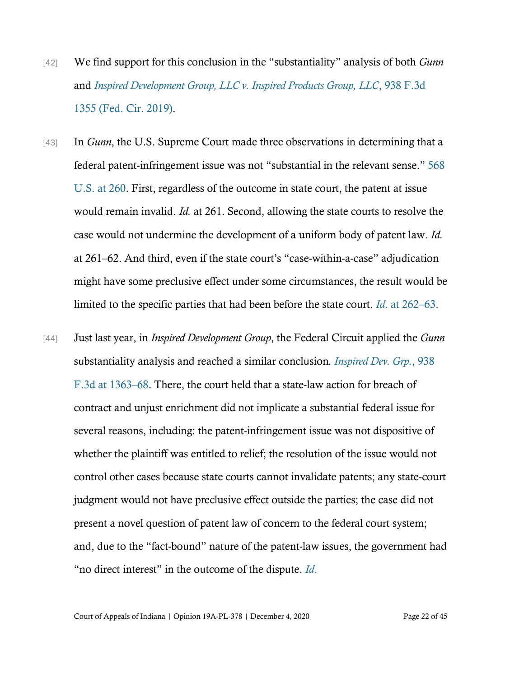- [42] We find support for this conclusion in the "substantiality" analysis of both *Gunn* and *[Inspired Development Group, LLC v. Inspired Products Group, LLC](https://www.westlaw.com/Document/I3a428910da3d11e9b449da4f1cc0e662/View/FullText.html?transitionType=Default&contextData=(sc.Default)&VR=3.0&RS=da3.0)*, 938 F.3d [1355 \(Fed. Cir. 2019\).](https://www.westlaw.com/Document/I3a428910da3d11e9b449da4f1cc0e662/View/FullText.html?transitionType=Default&contextData=(sc.Default)&VR=3.0&RS=da3.0)
- [43] In *Gunn*, the U.S. Supreme Court made three observations in determining that a federal patent-infringement issue was not "substantial in the relevant sense." [568](https://www.westlaw.com/Document/Id7bdad407b6d11e280719c3f0e80bdd0/View/FullText.html?transitionType=Default&contextData=(sc.Default)&VR=3.0&RS=da3.0&fragmentIdentifier=co_pp_sp_780_260)  [U.S. at 260.](https://www.westlaw.com/Document/Id7bdad407b6d11e280719c3f0e80bdd0/View/FullText.html?transitionType=Default&contextData=(sc.Default)&VR=3.0&RS=da3.0&fragmentIdentifier=co_pp_sp_780_260) First, regardless of the outcome in state court, the patent at issue would remain invalid. *Id.* at 261. Second, allowing the state courts to resolve the case would not undermine the development of a uniform body of patent law. *Id.* at 261–62. And third, even if the state court's "case-within-a-case" adjudication might have some preclusive effect under some circumstances, the result would be limited to the specific parties that had been before the state court. *Id*[. at 262](https://www.westlaw.com/Document/Id7bdad407b6d11e280719c3f0e80bdd0/View/FullText.html?transitionType=Default&contextData=(sc.Default)&VR=3.0&RS=da3.0&fragmentIdentifier=co_pp_sp_780_261)–63.
- [44] Just last year, in *Inspired Development Group*, the Federal Circuit applied the *Gunn* substantiality analysis and reached a similar conclusion*. [Inspired Dev. Grp.](https://www.westlaw.com/Document/I3a428910da3d11e9b449da4f1cc0e662/View/FullText.html?transitionType=Default&contextData=(sc.Default)&VR=3.0&RS=da3.0)*, 938 [F.3d at 1363](https://www.westlaw.com/Document/I3a428910da3d11e9b449da4f1cc0e662/View/FullText.html?transitionType=Default&contextData=(sc.Default)&VR=3.0&RS=da3.0)–68. There, the court held that a state-law action for breach of contract and unjust enrichment did not implicate a substantial federal issue for several reasons, including: the patent-infringement issue was not dispositive of whether the plaintiff was entitled to relief; the resolution of the issue would not control other cases because state courts cannot invalidate patents; any state-court judgment would not have preclusive effect outside the parties; the case did not present a novel question of patent law of concern to the federal court system; and, due to the "fact-bound" nature of the patent-law issues, the government had "no direct interest" in the outcome of the dispute. *[Id](https://www.westlaw.com/Document/Id7bdad407b6d11e280719c3f0e80bdd0/View/FullText.html?transitionType=Default&contextData=(sc.Default)&VR=3.0&RS=da3.0)*.

Court of Appeals of Indiana | Opinion 19A-PL-378 | December 4, 2020 Page 22 of 45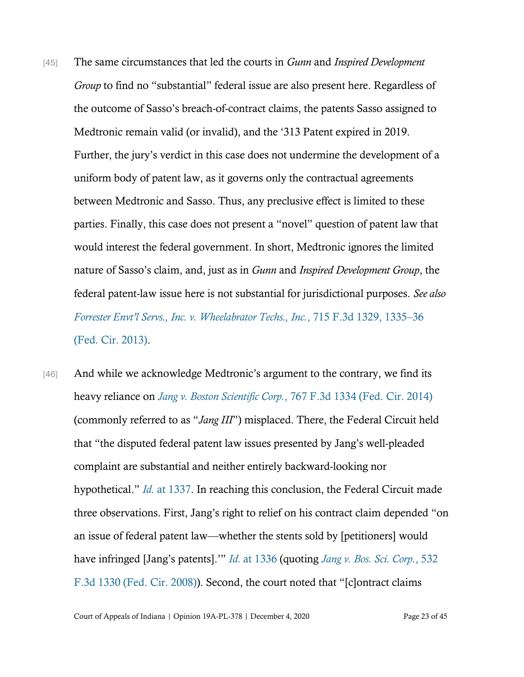- [45] The same circumstances that led the courts in *Gunn* and *Inspired Development Group* to find no "substantial" federal issue are also present here. Regardless of the outcome of Sasso's breach-of-contract claims, the patents Sasso assigned to Medtronic remain valid (or invalid), and the '313 Patent expired in 2019. Further, the jury's verdict in this case does not undermine the development of a uniform body of patent law, as it governs only the contractual agreements between Medtronic and Sasso. Thus, any preclusive effect is limited to these parties. Finally, this case does not present a "novel" question of patent law that would interest the federal government. In short, Medtronic ignores the limited nature of Sasso's claim, and, just as in *Gunn* and *Inspired Development Group*, the federal patent-law issue here is not substantial for jurisdictional purposes. *See also [Forrester Envt'l Servs., Inc. v. Wheelabrator Techs., Inc.](https://www.westlaw.com/Document/Ife38c29cbe5011e2a555d241dae65084/View/FullText.html?transitionType=Default&contextData=(sc.Default)&VR=3.0&RS=da3.0&fragmentIdentifier=co_pp_sp_506_1335)*, 715 F.3d 1329, 1335–36 [\(Fed. Cir. 2013\).](https://www.westlaw.com/Document/Ife38c29cbe5011e2a555d241dae65084/View/FullText.html?transitionType=Default&contextData=(sc.Default)&VR=3.0&RS=da3.0&fragmentIdentifier=co_pp_sp_506_1335)
- [46] And while we acknowledge Medtronic's argument to the contrary, we find its heavy reliance on *Jang v. Boston Scientific Corp.*[, 767 F.3d 1334 \(Fed. Cir. 2014\)](https://www.westlaw.com/Document/I410d8b6144d011e4b4bafa136b480ad2/View/FullText.html?transitionType=Default&contextData=(sc.Default)&VR=3.0&RS=da3.0) (commonly referred to as "*Jang III*") misplaced. There, the Federal Circuit held that "the disputed federal patent law issues presented by Jang's well-pleaded complaint are substantial and neither entirely backward-looking nor hypothetical." *Id.* [at 1337.](https://www.westlaw.com/Document/I410d8b6144d011e4b4bafa136b480ad2/View/FullText.html?transitionType=Default&contextData=(sc.Default)&VR=3.0&RS=da3.0&fragmentIdentifier=co_pp_sp_506_1337) In reaching this conclusion, the Federal Circuit made three observations. First, Jang's right to relief on his contract claim depended "on an issue of federal patent law—whether the stents sold by [petitioners] would have infringed [Jang's patents].'" *Id.* [at 1336](https://www.westlaw.com/Document/I410d8b6144d011e4b4bafa136b480ad2/View/FullText.html?transitionType=Default&contextData=(sc.Default)&VR=3.0&RS=da3.0&fragmentIdentifier=co_pp_sp_506_1336) (quoting *[Jang v. Bos.](https://www.westlaw.com/Document/Ica5efb5e529511ddb5cbad29a280d47c/View/FullText.html?transitionType=Default&contextData=(sc.Default)&VR=3.0&RS=da3.0) Sci. Corp.*, 532 [F.3d 1330 \(Fed. Cir. 2008\)](https://www.westlaw.com/Document/Ica5efb5e529511ddb5cbad29a280d47c/View/FullText.html?transitionType=Default&contextData=(sc.Default)&VR=3.0&RS=da3.0)). Second, the court noted that "[c]ontract claims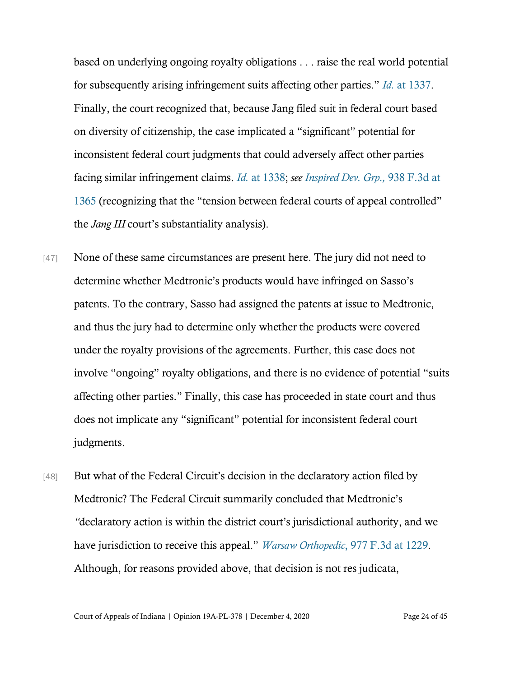based on underlying ongoing royalty obligations . . . raise the real world potential for subsequently arising infringement suits affecting other parties." *Id.* [at 1337.](https://www.westlaw.com/Document/I410d8b6144d011e4b4bafa136b480ad2/View/FullText.html?transitionType=Default&contextData=(sc.Default)&VR=3.0&RS=da3.0&fragmentIdentifier=co_pp_sp_506_1337) Finally, the court recognized that, because Jang filed suit in federal court based on diversity of citizenship, the case implicated a "significant" potential for inconsistent federal court judgments that could adversely affect other parties facing similar infringement claims. *Id.* [at 1338;](https://www.westlaw.com/Document/I410d8b6144d011e4b4bafa136b480ad2/View/FullText.html?transitionType=Default&contextData=(sc.Default)&VR=3.0&RS=da3.0&fragmentIdentifier=co_pp_sp_506_1338) *see [Inspired Dev.](https://www.westlaw.com/Document/I3a428910da3d11e9b449da4f1cc0e662/View/FullText.html?transitionType=Default&contextData=(sc.Default)&VR=3.0&RS=da3.0&fragmentIdentifier=co_pp_sp_506_1365) Grp.,* 938 F.3d at [1365](https://www.westlaw.com/Document/I3a428910da3d11e9b449da4f1cc0e662/View/FullText.html?transitionType=Default&contextData=(sc.Default)&VR=3.0&RS=da3.0&fragmentIdentifier=co_pp_sp_506_1365) (recognizing that the "tension between federal courts of appeal controlled" the *Jang III* court's substantiality analysis).

- [47] None of these same circumstances are present here. The jury did not need to determine whether Medtronic's products would have infringed on Sasso's patents. To the contrary, Sasso had assigned the patents at issue to Medtronic, and thus the jury had to determine only whether the products were covered under the royalty provisions of the agreements. Further, this case does not involve "ongoing" royalty obligations, and there is no evidence of potential "suits affecting other parties." Finally, this case has proceeded in state court and thus does not implicate any "significant" potential for inconsistent federal court judgments.
- [48] But what of the Federal Circuit's decision in the declaratory action filed by Medtronic? The Federal Circuit summarily concluded that Medtronic's *"*declaratory action is within the district court's jurisdictional authority, and we have jurisdiction to receive this appeal." *Warsaw Orthopedic*[, 977 F.3d at 1229.](https://www.westlaw.com/Document/Id95835800e6311eba9128435efc93e75/View/FullText.html?transitionType=Default&contextData=(sc.Default)&VR=3.0&RS=da3.0&fragmentIdentifier=co_pp_sp_506_1229) Although, for reasons provided above, that decision is not res judicata,

Court of Appeals of Indiana | Opinion 19A-PL-378 | December 4, 2020 Page 24 of 45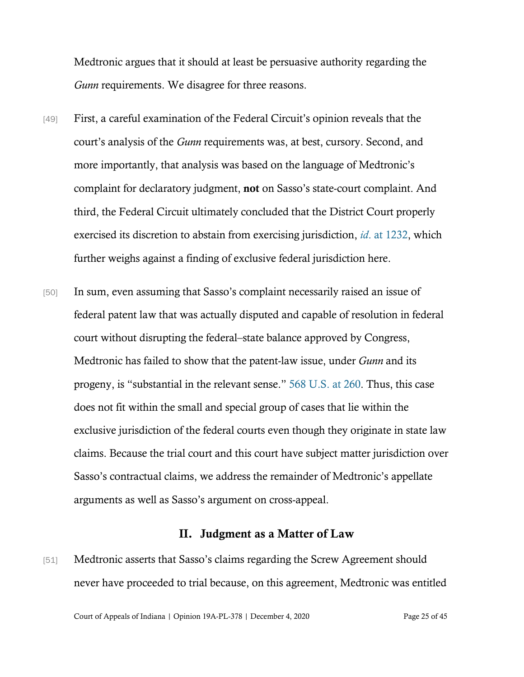Medtronic argues that it should at least be persuasive authority regarding the *Gunn* requirements. We disagree for three reasons.

- [49] First, a careful examination of the Federal Circuit's opinion reveals that the court's analysis of the *Gunn* requirements was, at best, cursory. Second, and more importantly, that analysis was based on the language of Medtronic's complaint for declaratory judgment, not on Sasso's state-court complaint. And third, the Federal Circuit ultimately concluded that the District Court properly exercised its discretion to abstain from exercising jurisdiction, *id*[. at 1232,](https://www.westlaw.com/Document/Id95835800e6311eba9128435efc93e75/View/FullText.html?transitionType=Default&contextData=(sc.Default)&VR=3.0&RS=da3.0&fragmentIdentifier=co_pp_sp_506_1232) which further weighs against a finding of exclusive federal jurisdiction here.
- [50] In sum, even assuming that Sasso's complaint necessarily raised an issue of federal patent law that was actually disputed and capable of resolution in federal court without disrupting the federal–state balance approved by Congress, Medtronic has failed to show that the patent-law issue, under *Gunn* and its progeny, is "substantial in the relevant sense." [568 U.S. at 260.](https://www.westlaw.com/Document/Id7bdad407b6d11e280719c3f0e80bdd0/View/FullText.html?transitionType=Default&contextData=(sc.Default)&VR=3.0&RS=da3.0&fragmentIdentifier=co_pp_sp_780_260) Thus, this case does not fit within the small and special group of cases that lie within the exclusive jurisdiction of the federal courts even though they originate in state law claims. Because the trial court and this court have subject matter jurisdiction over Sasso's contractual claims, we address the remainder of Medtronic's appellate arguments as well as Sasso's argument on cross-appeal.

## II. Judgment as a Matter of Law

[51] Medtronic asserts that Sasso's claims regarding the Screw Agreement should never have proceeded to trial because, on this agreement, Medtronic was entitled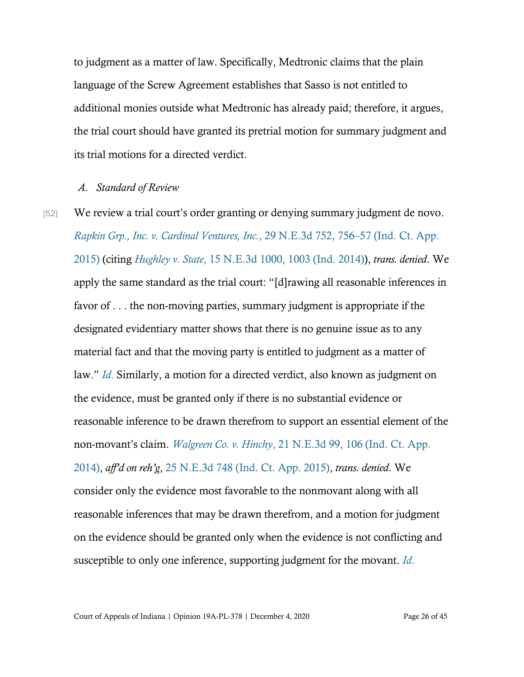to judgment as a matter of law. Specifically, Medtronic claims that the plain language of the Screw Agreement establishes that Sasso is not entitled to additional monies outside what Medtronic has already paid; therefore, it argues, the trial court should have granted its pretrial motion for summary judgment and its trial motions for a directed verdict.

#### *A. Standard of Review*

[52] We review a trial court's order granting or denying summary judgment de novo. *Rapkin Grp., [Inc. v. Cardinal Ventures, Inc.](https://www.westlaw.com/Document/I8902fd1dd8a711e4b86bd602cb8781fa/View/FullText.html?transitionType=Default&contextData=(sc.Default)&VR=3.0&RS=da3.0&fragmentIdentifier=co_pp_sp_7902_756)*, 29 N.E.3d 752, 756–57 (Ind. Ct. App. [2015\)](https://www.westlaw.com/Document/I8902fd1dd8a711e4b86bd602cb8781fa/View/FullText.html?transitionType=Default&contextData=(sc.Default)&VR=3.0&RS=da3.0&fragmentIdentifier=co_pp_sp_7902_756) (citing *Hughley v. State*[, 15 N.E.3d 1000, 1003 \(Ind. 2014\)\)](https://www.westlaw.com/Document/Ie935ccc1389f11e4b86bd602cb8781fa/View/FullText.html?transitionType=Default&contextData=(sc.Default)&VR=3.0&RS=da3.0&fragmentIdentifier=co_pp_sp_7902_1003), *trans. denied*. We apply the same standard as the trial court: "[d]rawing all reasonable inferences in favor of . . . the non-moving parties, summary judgment is appropriate if the designated evidentiary matter shows that there is no genuine issue as to any material fact and that the moving party is entitled to judgment as a matter of law." *[Id](https://www.westlaw.com/Document/I8902fd1dd8a711e4b86bd602cb8781fa/View/FullText.html?transitionType=Default&contextData=(sc.Default)&VR=3.0&RS=da3.0&fragmentIdentifier=co_pp_sp_7902_757)*. Similarly, a motion for a directed verdict, also known as judgment on the evidence, must be granted only if there is no substantial evidence or reasonable inference to be drawn therefrom to support an essential element of the non-movant's claim. *Walgreen Co. v. Hinchy*[, 21 N.E.3d 99, 106 \(Ind. Ct. App.](https://www.westlaw.com/Document/I336778236e9c11e4b86bd602cb8781fa/View/FullText.html?transitionType=Default&contextData=(sc.Default)&VR=3.0&RS=da3.0&fragmentIdentifier=co_pp_sp_7902_106)  [2014\),](https://www.westlaw.com/Document/I336778236e9c11e4b86bd602cb8781fa/View/FullText.html?transitionType=Default&contextData=(sc.Default)&VR=3.0&RS=da3.0&fragmentIdentifier=co_pp_sp_7902_106) *aff'd on reh'g*, [25 N.E.3d 748 \(Ind. Ct. App. 2015\),](https://www.westlaw.com/Document/I74dbc8019da611e490d4edf60ce7d742/View/FullText.html?transitionType=Default&contextData=(sc.Default)&VR=3.0&RS=da3.0) *trans. denied*. We consider only the evidence most favorable to the nonmovant along with all reasonable inferences that may be drawn therefrom, and a motion for judgment on the evidence should be granted only when the evidence is not conflicting and susceptible to only one inference, supporting judgment for the movant. *[Id](https://www.westlaw.com/Document/I336778236e9c11e4b86bd602cb8781fa/View/FullText.html?transitionType=Default&contextData=(sc.Default)&VR=3.0&RS=da3.0&fragmentIdentifier=co_pp_sp_7902_106)*.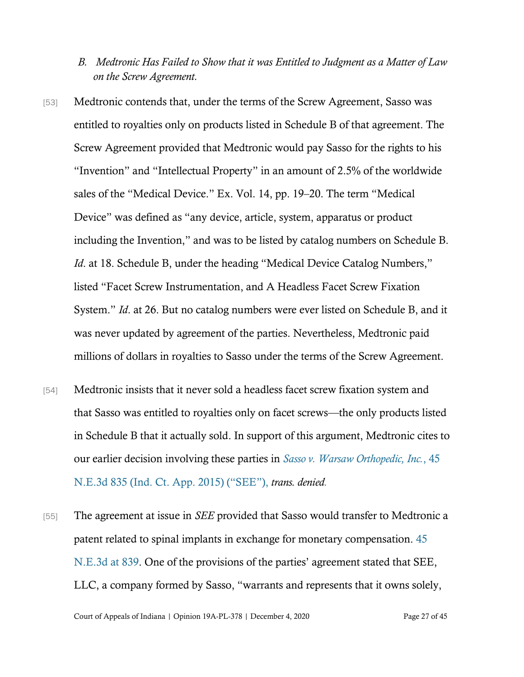- *B. Medtronic Has Failed to Show that it was Entitled to Judgment as a Matter of Law on the Screw Agreement.*
- [53] Medtronic contends that, under the terms of the Screw Agreement, Sasso was entitled to royalties only on products listed in Schedule B of that agreement. The Screw Agreement provided that Medtronic would pay Sasso for the rights to his "Invention" and "Intellectual Property" in an amount of 2.5% of the worldwide sales of the "Medical Device." Ex. Vol. 14, pp. 19–20. The term "Medical Device" was defined as "any device, article, system, apparatus or product including the Invention," and was to be listed by catalog numbers on Schedule B. *Id.* at 18. Schedule B, under the heading "Medical Device Catalog Numbers," listed "Facet Screw Instrumentation, and A Headless Facet Screw Fixation System." *Id*. at 26. But no catalog numbers were ever listed on Schedule B, and it was never updated by agreement of the parties. Nevertheless, Medtronic paid millions of dollars in royalties to Sasso under the terms of the Screw Agreement.
- [54] Medtronic insists that it never sold a headless facet screw fixation system and that Sasso was entitled to royalties only on facet screws—the only products listed in Schedule B that it actually sold. In support of this argument, Medtronic cites to our earlier decision involving these parties in *[Sasso v. Warsaw Orthopedic, Inc.](https://www.westlaw.com/Document/I065e80dc853711e5b4bafa136b480ad2/View/FullText.html?transitionType=Default&contextData=(sc.Default)&VR=3.0&RS=cblt1.0)*, 45 [N.E.3d 835 \(Ind. Ct. App. 2015\)](https://www.westlaw.com/Document/I065e80dc853711e5b4bafa136b480ad2/View/FullText.html?transitionType=Default&contextData=(sc.Default)&VR=3.0&RS=cblt1.0) ("SEE"), *trans. denied.*
- [55] The agreement at issue in *SEE* provided that Sasso would transfer to Medtronic a patent related to spinal implants in exchange for monetary compensation. [45](https://www.westlaw.com/Document/I065e80dc853711e5b4bafa136b480ad2/View/FullText.html?transitionType=Default&contextData=(sc.Default)&VR=3.0&RS=da3.0&fragmentIdentifier=co_pp_sp_7902_839)  [N.E.3d at 839.](https://www.westlaw.com/Document/I065e80dc853711e5b4bafa136b480ad2/View/FullText.html?transitionType=Default&contextData=(sc.Default)&VR=3.0&RS=da3.0&fragmentIdentifier=co_pp_sp_7902_839) One of the provisions of the parties' agreement stated that SEE, LLC, a company formed by Sasso, "warrants and represents that it owns solely,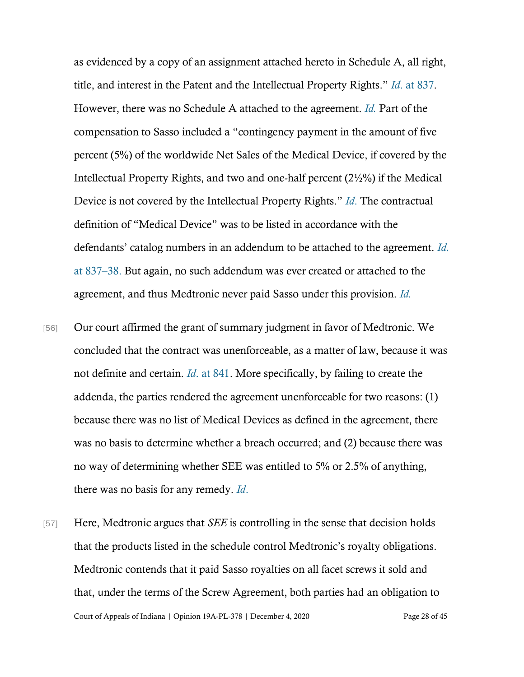as evidenced by a copy of an assignment attached hereto in Schedule A, all right, title, and interest in the Patent and the Intellectual Property Rights." *Id*[. at 837.](https://www.westlaw.com/Document/I065e80dc853711e5b4bafa136b480ad2/View/FullText.html?transitionType=Default&contextData=(sc.Default)&VR=3.0&RS=da3.0&fragmentIdentifier=co_pp_sp_7902_837) However, there was no Schedule A attached to the agreement. *[Id.](https://www.westlaw.com/Document/I065e80dc853711e5b4bafa136b480ad2/View/FullText.html?transitionType=Default&contextData=(sc.Default)&VR=3.0&RS=da3.0&fragmentIdentifier=co_pp_sp_7902_837)* Part of the compensation to Sasso included a "contingency payment in the amount of five percent (5%) of the worldwide Net Sales of the Medical Device, if covered by the Intellectual Property Rights, and two and one-half percent (2½%) if the Medical Device is not covered by the Intellectual Property Rights." *[Id](https://www.westlaw.com/Document/I065e80dc853711e5b4bafa136b480ad2/View/FullText.html?transitionType=Default&contextData=(sc.Default)&VR=3.0&RS=da3.0&fragmentIdentifier=co_pp_sp_7902_837)*. The contractual definition of "Medical Device" was to be listed in accordance with the defendants' catalog numbers in an addendum to be attached to the agreement. *[Id.](https://www.westlaw.com/Document/I065e80dc853711e5b4bafa136b480ad2/View/FullText.html?transitionType=Default&contextData=(sc.Default)&VR=3.0&RS=da3.0&fragmentIdentifier=co_pp_sp_7902_837)* [at 837](https://www.westlaw.com/Document/I065e80dc853711e5b4bafa136b480ad2/View/FullText.html?transitionType=Default&contextData=(sc.Default)&VR=3.0&RS=da3.0&fragmentIdentifier=co_pp_sp_7902_837)–38. But again, no such addendum was ever created or attached to the agreement, and thus Medtronic never paid Sasso under this provision. *[Id.](https://www.westlaw.com/Document/I065e80dc853711e5b4bafa136b480ad2/View/FullText.html?transitionType=Default&contextData=(sc.Default)&VR=3.0&RS=da3.0&fragmentIdentifier=co_pp_sp_7902_837)*

- [56] Our court affirmed the grant of summary judgment in favor of Medtronic. We concluded that the contract was unenforceable, as a matter of law, because it was not definite and certain. *Id*[. at 841.](https://www.westlaw.com/Document/I065e80dc853711e5b4bafa136b480ad2/View/FullText.html?transitionType=Default&contextData=(sc.Default)&VR=3.0&RS=da3.0&fragmentIdentifier=co_pp_sp_7902_841) More specifically, by failing to create the addenda, the parties rendered the agreement unenforceable for two reasons: (1) because there was no list of Medical Devices as defined in the agreement, there was no basis to determine whether a breach occurred; and (2) because there was no way of determining whether SEE was entitled to 5% or 2.5% of anything, there was no basis for any remedy. *[Id](https://www.westlaw.com/Document/I065e80dc853711e5b4bafa136b480ad2/View/FullText.html?transitionType=Default&contextData=(sc.Default)&VR=3.0&RS=da3.0&fragmentIdentifier=co_pp_sp_7902_841)*.
- Court of Appeals of Indiana | Opinion 19A-PL-378 | December 4, 2020 Page 28 of 45 [57] Here, Medtronic argues that *SEE* is controlling in the sense that decision holds that the products listed in the schedule control Medtronic's royalty obligations. Medtronic contends that it paid Sasso royalties on all facet screws it sold and that, under the terms of the Screw Agreement, both parties had an obligation to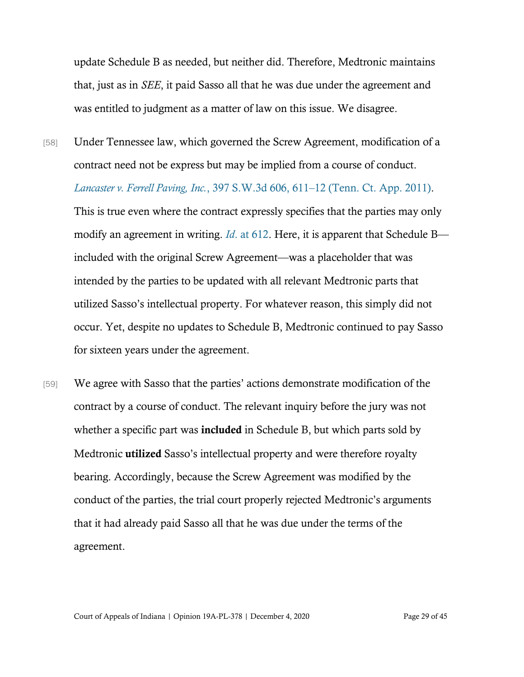update Schedule B as needed, but neither did. Therefore, Medtronic maintains that, just as in *SEE*, it paid Sasso all that he was due under the agreement and was entitled to judgment as a matter of law on this issue. We disagree.

[58] Under Tennessee law, which governed the Screw Agreement, modification of a contract need not be express but may be implied from a course of conduct. *[Lancaster v. Ferrell Paving, Inc.](https://www.westlaw.com/Document/Ib9e911b2e39011e0a9e5bdc02ef2b18e/View/FullText.html?transitionType=Default&contextData=(sc.Default)&VR=3.0&RS=da3.0&fragmentIdentifier=co_pp_sp_4644_611)*, 397 S.W.3d 606, 611–12 (Tenn. Ct. App. 2011). This is true even where the contract expressly specifies that the parties may only modify an agreement in writing. *Id*[. at 612.](https://www.westlaw.com/Document/Ib9e911b2e39011e0a9e5bdc02ef2b18e/View/FullText.html?transitionType=Default&contextData=(sc.Default)&VR=3.0&RS=da3.0&fragmentIdentifier=co_pp_sp_4644_612) Here, it is apparent that Schedule B included with the original Screw Agreement—was a placeholder that was intended by the parties to be updated with all relevant Medtronic parts that utilized Sasso's intellectual property. For whatever reason, this simply did not occur. Yet, despite no updates to Schedule B, Medtronic continued to pay Sasso for sixteen years under the agreement.

[59] We agree with Sasso that the parties' actions demonstrate modification of the contract by a course of conduct. The relevant inquiry before the jury was not whether a specific part was **included** in Schedule B, but which parts sold by Medtronic utilized Sasso's intellectual property and were therefore royalty bearing. Accordingly, because the Screw Agreement was modified by the conduct of the parties, the trial court properly rejected Medtronic's arguments that it had already paid Sasso all that he was due under the terms of the agreement.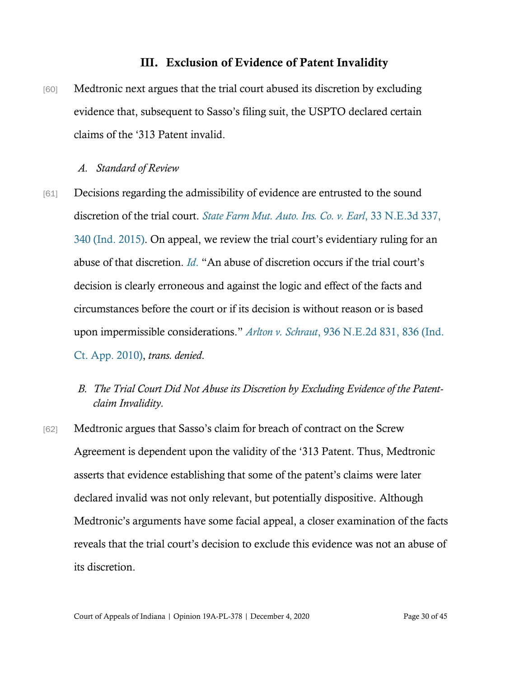## III. Exclusion of Evidence of Patent Invalidity

[60] Medtronic next argues that the trial court abused its discretion by excluding evidence that, subsequent to Sasso's filing suit, the USPTO declared certain claims of the '313 Patent invalid.

#### *A. Standard of Review*

- [61] Decisions regarding the admissibility of evidence are entrusted to the sound discretion of the trial court. *[State Farm Mut. Auto. Ins. Co. v. Earl](https://www.westlaw.com/Document/I911c2d3d0fce11e5a795ac035416da91/View/FullText.html?transitionType=Default&contextData=(sc.Default)&VR=3.0&RS=da3.0&fragmentIdentifier=co_pp_sp_7902_340)*, 33 N.E.3d 337, [340 \(Ind. 2015\)](https://www.westlaw.com/Document/I911c2d3d0fce11e5a795ac035416da91/View/FullText.html?transitionType=Default&contextData=(sc.Default)&VR=3.0&RS=da3.0&fragmentIdentifier=co_pp_sp_7902_340). On appeal, we review the trial court's evidentiary ruling for an abuse of that discretion. *[Id](https://www.westlaw.com/Document/I911c2d3d0fce11e5a795ac035416da91/View/FullText.html?transitionType=Default&contextData=(sc.Default)&VR=3.0&RS=da3.0&fragmentIdentifier=co_pp_sp_7902_340)*. "An abuse of discretion occurs if the trial court's decision is clearly erroneous and against the logic and effect of the facts and circumstances before the court or if its decision is without reason or is based upon impermissible considerations." *Arlton v. Schraut*[, 936 N.E.2d 831, 836 \(Ind.](https://www.westlaw.com/Document/I59b96d66ec9911df80558336ea473530/View/FullText.html?transitionType=Default&contextData=(sc.Default)&VR=3.0&RS=da3.0&fragmentIdentifier=co_pp_sp_578_836)  [Ct. App. 2010\),](https://www.westlaw.com/Document/I59b96d66ec9911df80558336ea473530/View/FullText.html?transitionType=Default&contextData=(sc.Default)&VR=3.0&RS=da3.0&fragmentIdentifier=co_pp_sp_578_836) *trans. denied*.
	- *B. The Trial Court Did Not Abuse its Discretion by Excluding Evidence of the Patentclaim Invalidity.*
- [62] Medtronic argues that Sasso's claim for breach of contract on the Screw Agreement is dependent upon the validity of the '313 Patent. Thus, Medtronic asserts that evidence establishing that some of the patent's claims were later declared invalid was not only relevant, but potentially dispositive. Although Medtronic's arguments have some facial appeal, a closer examination of the facts reveals that the trial court's decision to exclude this evidence was not an abuse of its discretion.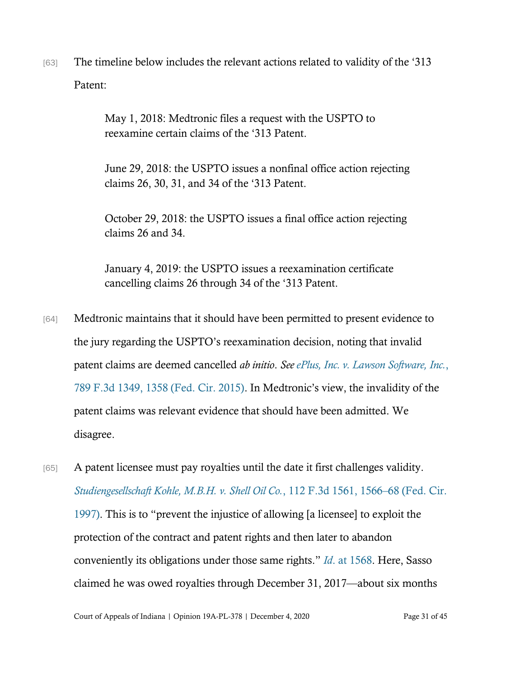[63] The timeline below includes the relevant actions related to validity of the '313 Patent:

> May 1, 2018: Medtronic files a request with the USPTO to reexamine certain claims of the '313 Patent.

June 29, 2018: the USPTO issues a nonfinal office action rejecting claims 26, 30, 31, and 34 of the '313 Patent.

October 29, 2018: the USPTO issues a final office action rejecting claims 26 and 34.

January 4, 2019: the USPTO issues a reexamination certificate cancelling claims 26 through 34 of the '313 Patent.

- [64] Medtronic maintains that it should have been permitted to present evidence to the jury regarding the USPTO's reexamination decision, noting that invalid patent claims are deemed cancelled *ab initio*. *See [ePlus, Inc. v. Lawson Software, Inc.](https://www.westlaw.com/Document/Icdc75b1315e011e590d4edf60ce7d742/View/FullText.html?transitionType=Default&contextData=(sc.Default)&VR=3.0&RS=da3.0&fragmentIdentifier=co_pp_sp_506_1358)*, [789 F.3d 1349, 1358 \(Fed. Cir. 2015\)](https://www.westlaw.com/Document/Icdc75b1315e011e590d4edf60ce7d742/View/FullText.html?transitionType=Default&contextData=(sc.Default)&VR=3.0&RS=da3.0&fragmentIdentifier=co_pp_sp_506_1358). In Medtronic's view, the invalidity of the patent claims was relevant evidence that should have been admitted. We disagree.
- [65] A patent licensee must pay royalties until the date it first challenges validity. *[Studiengesellschaft Kohle, M.B.H. v. Shell Oil Co.](https://www.westlaw.com/Document/I0c517e16941d11d9bdd1cfdd544ca3a4/View/FullText.html?transitionType=Default&contextData=(sc.Default)&VR=3.0&RS=da3.0&fragmentIdentifier=co_pp_sp_506_1566)*, 112 F.3d 1561, 1566–68 (Fed. Cir. [1997\)](https://www.westlaw.com/Document/I0c517e16941d11d9bdd1cfdd544ca3a4/View/FullText.html?transitionType=Default&contextData=(sc.Default)&VR=3.0&RS=da3.0&fragmentIdentifier=co_pp_sp_506_1566). This is to "prevent the injustice of allowing [a licensee] to exploit the protection of the contract and patent rights and then later to abandon conveniently its obligations under those same rights." *Id*[. at 1568.](https://www.westlaw.com/Document/I0c517e16941d11d9bdd1cfdd544ca3a4/View/FullText.html?transitionType=Default&contextData=(sc.Default)&VR=3.0&RS=da3.0&fragmentIdentifier=co_pp_sp_506_1568) Here, Sasso claimed he was owed royalties through December 31, 2017—about six months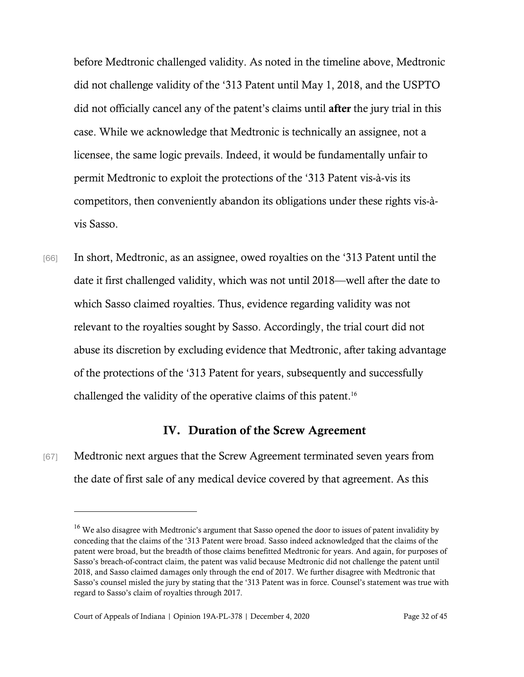before Medtronic challenged validity. As noted in the timeline above, Medtronic did not challenge validity of the '313 Patent until May 1, 2018, and the USPTO did not officially cancel any of the patent's claims until after the jury trial in this case. While we acknowledge that Medtronic is technically an assignee, not a licensee, the same logic prevails. Indeed, it would be fundamentally unfair to permit Medtronic to exploit the protections of the '313 Patent vis-à-vis its competitors, then conveniently abandon its obligations under these rights vis-àvis Sasso.

[66] In short, Medtronic, as an assignee, owed royalties on the '313 Patent until the date it first challenged validity, which was not until 2018—well after the date to which Sasso claimed royalties. Thus, evidence regarding validity was not relevant to the royalties sought by Sasso. Accordingly, the trial court did not abuse its discretion by excluding evidence that Medtronic, after taking advantage of the protections of the '313 Patent for years, subsequently and successfully challenged the validity of the operative claims of this patent.<sup>16</sup>

## IV. Duration of the Screw Agreement

[67] Medtronic next argues that the Screw Agreement terminated seven years from the date of first sale of any medical device covered by that agreement. As this

<sup>&</sup>lt;sup>16</sup> We also disagree with Medtronic's argument that Sasso opened the door to issues of patent invalidity by conceding that the claims of the '313 Patent were broad. Sasso indeed acknowledged that the claims of the patent were broad, but the breadth of those claims benefitted Medtronic for years. And again, for purposes of Sasso's breach-of-contract claim, the patent was valid because Medtronic did not challenge the patent until 2018, and Sasso claimed damages only through the end of 2017. We further disagree with Medtronic that Sasso's counsel misled the jury by stating that the '313 Patent was in force. Counsel's statement was true with regard to Sasso's claim of royalties through 2017.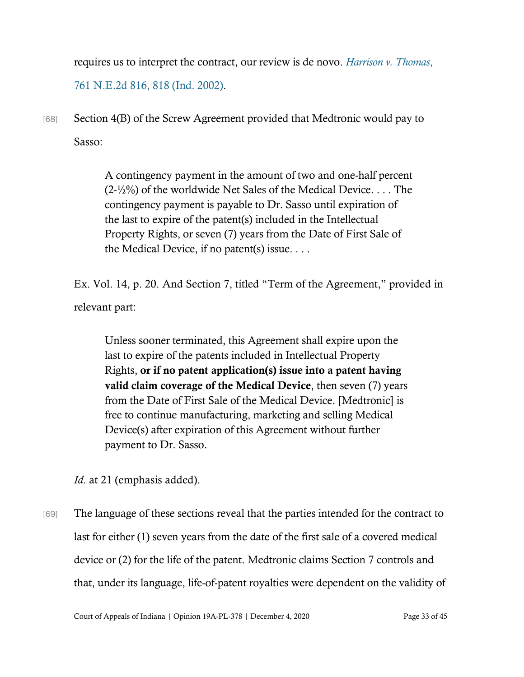requires us to interpret the contract, our review is de novo. *[Harrison v. Thomas](https://www.westlaw.com/Document/I263b2f55d38e11d9bf60c1d57ebc853e/View/FullText.html?transitionType=Default&contextData=(sc.Default)&VR=3.0&RS=da3.0&fragmentIdentifier=co_pp_sp_578_818)*, [761 N.E.2d 816, 818 \(Ind. 2002\).](https://www.westlaw.com/Document/I263b2f55d38e11d9bf60c1d57ebc853e/View/FullText.html?transitionType=Default&contextData=(sc.Default)&VR=3.0&RS=da3.0&fragmentIdentifier=co_pp_sp_578_818)

[68] Section 4(B) of the Screw Agreement provided that Medtronic would pay to Sasso:

> A contingency payment in the amount of two and one-half percent  $(2-\frac{1}{2}\%)$  of the worldwide Net Sales of the Medical Device. ... The contingency payment is payable to Dr. Sasso until expiration of the last to expire of the patent(s) included in the Intellectual Property Rights, or seven (7) years from the Date of First Sale of the Medical Device, if no patent(s) issue. . . .

Ex. Vol. 14, p. 20. And Section 7, titled "Term of the Agreement," provided in relevant part:

Unless sooner terminated, this Agreement shall expire upon the last to expire of the patents included in Intellectual Property Rights, or if no patent application(s) issue into a patent having valid claim coverage of the Medical Device, then seven (7) years from the Date of First Sale of the Medical Device. [Medtronic] is free to continue manufacturing, marketing and selling Medical Device(s) after expiration of this Agreement without further payment to Dr. Sasso.

*Id*. at 21 (emphasis added).

[69] The language of these sections reveal that the parties intended for the contract to last for either (1) seven years from the date of the first sale of a covered medical device or (2) for the life of the patent. Medtronic claims Section 7 controls and that, under its language, life-of-patent royalties were dependent on the validity of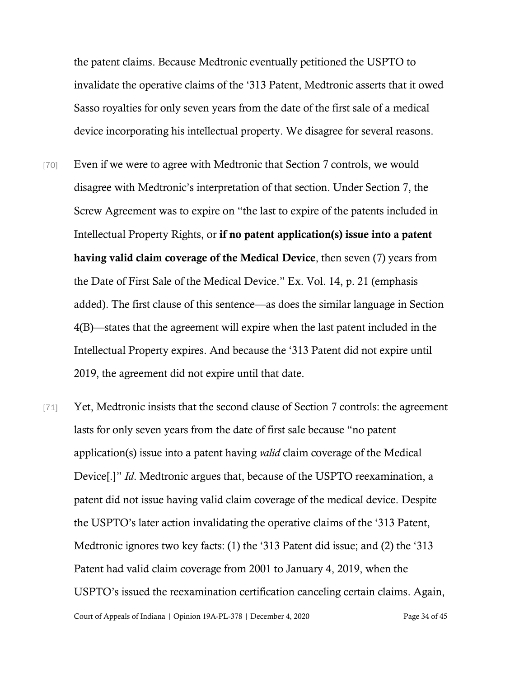the patent claims. Because Medtronic eventually petitioned the USPTO to invalidate the operative claims of the '313 Patent, Medtronic asserts that it owed Sasso royalties for only seven years from the date of the first sale of a medical device incorporating his intellectual property. We disagree for several reasons.

- [70] Even if we were to agree with Medtronic that Section 7 controls, we would disagree with Medtronic's interpretation of that section. Under Section 7, the Screw Agreement was to expire on "the last to expire of the patents included in Intellectual Property Rights, or if no patent application(s) issue into a patent having valid claim coverage of the Medical Device, then seven (7) years from the Date of First Sale of the Medical Device." Ex. Vol. 14, p. 21 (emphasis added). The first clause of this sentence—as does the similar language in Section 4(B)—states that the agreement will expire when the last patent included in the Intellectual Property expires. And because the '313 Patent did not expire until 2019, the agreement did not expire until that date.
- Court of Appeals of Indiana | Opinion 19A-PL-378 | December 4, 2020 Page 34 of 45 [71] Yet, Medtronic insists that the second clause of Section 7 controls: the agreement lasts for only seven years from the date of first sale because "no patent application(s) issue into a patent having *valid* claim coverage of the Medical Device[.]" *Id*. Medtronic argues that, because of the USPTO reexamination, a patent did not issue having valid claim coverage of the medical device. Despite the USPTO's later action invalidating the operative claims of the '313 Patent, Medtronic ignores two key facts: (1) the '313 Patent did issue; and (2) the '313 Patent had valid claim coverage from 2001 to January 4, 2019, when the USPTO's issued the reexamination certification canceling certain claims. Again,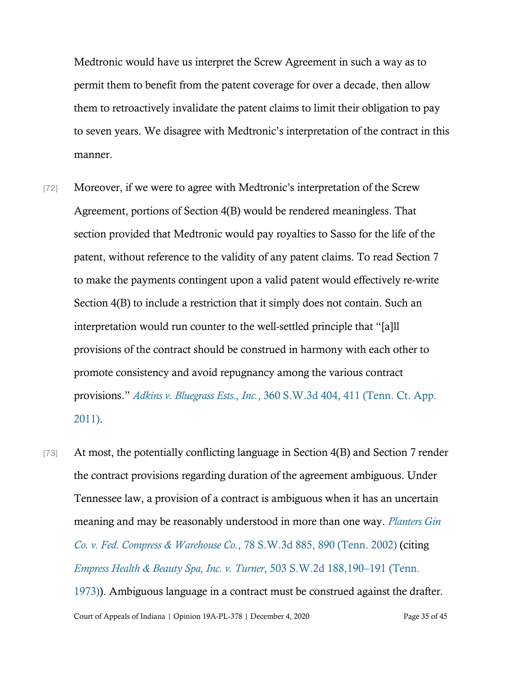Medtronic would have us interpret the Screw Agreement in such a way as to permit them to benefit from the patent coverage for over a decade, then allow them to retroactively invalidate the patent claims to limit their obligation to pay to seven years. We disagree with Medtronic's interpretation of the contract in this manner.

- [72] Moreover, if we were to agree with Medtronic's interpretation of the Screw Agreement, portions of Section 4(B) would be rendered meaningless. That section provided that Medtronic would pay royalties to Sasso for the life of the patent, without reference to the validity of any patent claims. To read Section 7 to make the payments contingent upon a valid patent would effectively re-write Section 4(B) to include a restriction that it simply does not contain. Such an interpretation would run counter to the well-settled principle that "[a]ll provisions of the contract should be construed in harmony with each other to promote consistency and avoid repugnancy among the various contract provisions." *Adkins v. Bluegrass Ests., Inc.*[, 360 S.W.3d 404, 411 \(Tenn. Ct. App.](https://www.westlaw.com/Document/I73e8304fd49f11e0be8fdb5fa26a1033/View/FullText.html?transitionType=Default&contextData=(sc.Default)&VR=3.0&RS=da3.0&fragmentIdentifier=co_pp_sp_4644_411)  [2011\).](https://www.westlaw.com/Document/I73e8304fd49f11e0be8fdb5fa26a1033/View/FullText.html?transitionType=Default&contextData=(sc.Default)&VR=3.0&RS=da3.0&fragmentIdentifier=co_pp_sp_4644_411)
- [73] At most, the potentially conflicting language in Section 4(B) and Section 7 render the contract provisions regarding duration of the agreement ambiguous. Under Tennessee law, a provision of a contract is ambiguous when it has an uncertain meaning and may be reasonably understood in more than one way. *[Planters Gin](https://www.westlaw.com/Document/I446a8b64e7cf11d9bf60c1d57ebc853e/View/FullText.html?transitionType=Default&contextData=(sc.Default)&VR=3.0&RS=da3.0&fragmentIdentifier=co_pp_sp_4644_890)  [Co. v. Fed. Compress & Warehouse Co.](https://www.westlaw.com/Document/I446a8b64e7cf11d9bf60c1d57ebc853e/View/FullText.html?transitionType=Default&contextData=(sc.Default)&VR=3.0&RS=da3.0&fragmentIdentifier=co_pp_sp_4644_890)*, 78 S.W.3d 885, 890 (Tenn. 2002) (citing *[Empress Health & Beauty Spa, Inc. v. Turner](https://www.westlaw.com/Document/Idd4ed35cec5b11d99439b076ef9ec4de/View/FullText.html?transitionType=Default&contextData=(sc.Default)&VR=3.0&RS=da3.0&fragmentIdentifier=co_pp_sp_713_190)*, 503 S.W.2d 188,190–191 (Tenn. [1973\)\)](https://www.westlaw.com/Document/Idd4ed35cec5b11d99439b076ef9ec4de/View/FullText.html?transitionType=Default&contextData=(sc.Default)&VR=3.0&RS=da3.0&fragmentIdentifier=co_pp_sp_713_190). Ambiguous language in a contract must be construed against the drafter.

Court of Appeals of Indiana | Opinion 19A-PL-378 | December 4, 2020 Page 35 of 45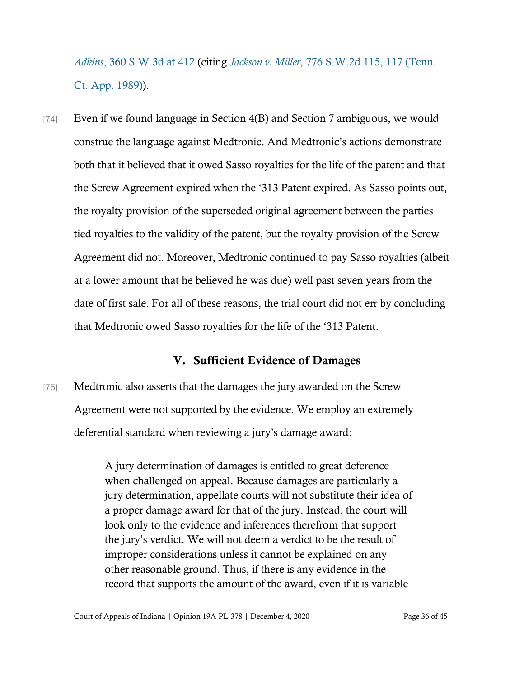*Adkins*[, 360 S.W.3d at](https://www.westlaw.com/Document/I73e8304fd49f11e0be8fdb5fa26a1033/View/FullText.html?transitionType=Default&contextData=(sc.Default)&VR=3.0&RS=da3.0&fragmentIdentifier=co_pp_sp_4644_412) 412 (citing *Jackson v. Miller*[, 776 S.W.2d 115, 117 \(Tenn.](https://www.westlaw.com/Document/I75077c04e7b211d99439b076ef9ec4de/View/FullText.html?transitionType=Default&contextData=(sc.Default)&VR=3.0&RS=da3.0&fragmentIdentifier=co_pp_sp_713_117)  [Ct. App. 1989\)\)](https://www.westlaw.com/Document/I75077c04e7b211d99439b076ef9ec4de/View/FullText.html?transitionType=Default&contextData=(sc.Default)&VR=3.0&RS=da3.0&fragmentIdentifier=co_pp_sp_713_117).

[74] Even if we found language in Section 4(B) and Section 7 ambiguous, we would construe the language against Medtronic. And Medtronic's actions demonstrate both that it believed that it owed Sasso royalties for the life of the patent and that the Screw Agreement expired when the '313 Patent expired. As Sasso points out, the royalty provision of the superseded original agreement between the parties tied royalties to the validity of the patent, but the royalty provision of the Screw Agreement did not. Moreover, Medtronic continued to pay Sasso royalties (albeit at a lower amount that he believed he was due) well past seven years from the date of first sale. For all of these reasons, the trial court did not err by concluding that Medtronic owed Sasso royalties for the life of the '313 Patent.

## V. Sufficient Evidence of Damages

[75] Medtronic also asserts that the damages the jury awarded on the Screw Agreement were not supported by the evidence. We employ an extremely deferential standard when reviewing a jury's damage award:

> A jury determination of damages is entitled to great deference when challenged on appeal. Because damages are particularly a jury determination, appellate courts will not substitute their idea of a proper damage award for that of the jury. Instead, the court will look only to the evidence and inferences therefrom that support the jury's verdict. We will not deem a verdict to be the result of improper considerations unless it cannot be explained on any other reasonable ground. Thus, if there is any evidence in the record that supports the amount of the award, even if it is variable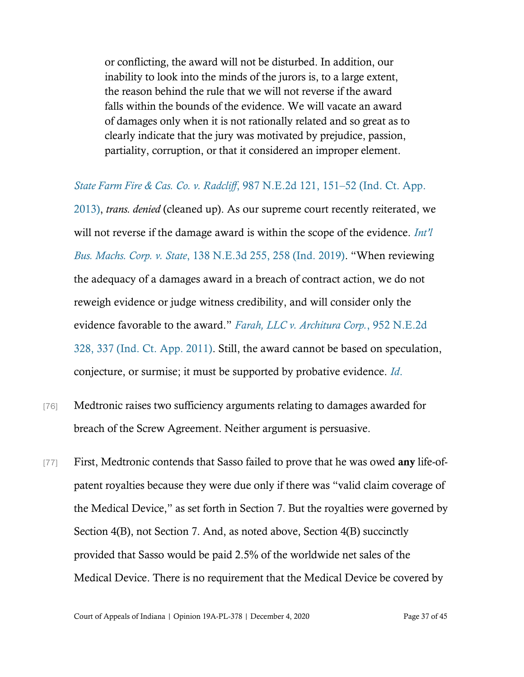or conflicting, the award will not be disturbed. In addition, our inability to look into the minds of the jurors is, to a large extent, the reason behind the rule that we will not reverse if the award falls within the bounds of the evidence. We will vacate an award of damages only when it is not rationally related and so great as to clearly indicate that the jury was motivated by prejudice, passion, partiality, corruption, or that it considered an improper element.

*[State Farm Fire & Cas. Co. v. Radcliff](https://www.westlaw.com/Document/Ic90eb793a2c811e2a555d241dae65084/View/FullText.html?transitionType=Default&contextData=(sc.Default)&VR=3.0&RS=da3.0&fragmentIdentifier=co_pp_sp_578_151)*, 987 N.E.2d 121, 151–52 (Ind. Ct. App. [2013\),](https://www.westlaw.com/Document/Ic90eb793a2c811e2a555d241dae65084/View/FullText.html?transitionType=Default&contextData=(sc.Default)&VR=3.0&RS=da3.0&fragmentIdentifier=co_pp_sp_578_151) *trans. denied* (cleaned up). As our supreme court recently reiterated, we will not reverse if the damage award is within the scope of the evidence. *[Int'l](https://www.westlaw.com/Document/If71ff5f0ec7011e990f2fe58d44ebc3e/View/FullText.html?transitionType=Default&contextData=(sc.Default)&VR=3.0&RS=da3.0&fragmentIdentifier=co_pp_sp_7902_258)  Bus. Machs. Corp. v. State*[, 138 N.E.3d 255, 258 \(Ind. 2019\)](https://www.westlaw.com/Document/If71ff5f0ec7011e990f2fe58d44ebc3e/View/FullText.html?transitionType=Default&contextData=(sc.Default)&VR=3.0&RS=da3.0&fragmentIdentifier=co_pp_sp_7902_258). "When reviewing the adequacy of a damages award in a breach of contract action, we do not reweigh evidence or judge witness credibility, and will consider only the evidence favorable to the award." *[Farah, LLC v. Architura Corp.](https://www.westlaw.com/Document/Iac43f40fc73a11e0bff4854fb99771ed/View/FullText.html?transitionType=Default&contextData=(sc.Default)&VR=3.0&RS=da3.0&fragmentIdentifier=co_pp_sp_578_337)*, 952 N.E.2d 328, 337 (Ind. [Ct. App. 2011\).](https://www.westlaw.com/Document/Iac43f40fc73a11e0bff4854fb99771ed/View/FullText.html?transitionType=Default&contextData=(sc.Default)&VR=3.0&RS=da3.0&fragmentIdentifier=co_pp_sp_578_337) Still, the award cannot be based on speculation, conjecture, or surmise; it must be supported by probative evidence. *[Id](https://www.westlaw.com/Document/Iac43f40fc73a11e0bff4854fb99771ed/View/FullText.html?transitionType=Default&contextData=(sc.Default)&VR=3.0&RS=da3.0&fragmentIdentifier=co_pp_sp_578_337)*.

- [76] Medtronic raises two sufficiency arguments relating to damages awarded for breach of the Screw Agreement. Neither argument is persuasive.
- [77] First, Medtronic contends that Sasso failed to prove that he was owed any life-ofpatent royalties because they were due only if there was "valid claim coverage of the Medical Device," as set forth in Section 7. But the royalties were governed by Section 4(B), not Section 7. And, as noted above, Section 4(B) succinctly provided that Sasso would be paid 2.5% of the worldwide net sales of the Medical Device. There is no requirement that the Medical Device be covered by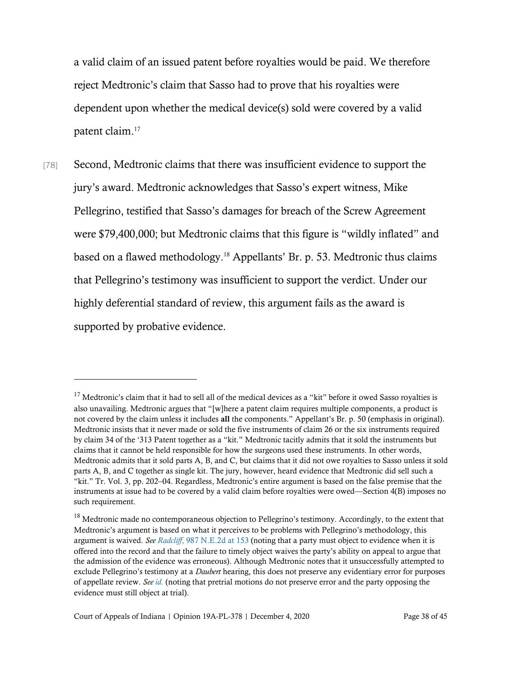a valid claim of an issued patent before royalties would be paid. We therefore reject Medtronic's claim that Sasso had to prove that his royalties were dependent upon whether the medical device(s) sold were covered by a valid patent claim.<sup>17</sup>

[78] Second, Medtronic claims that there was insufficient evidence to support the jury's award. Medtronic acknowledges that Sasso's expert witness, Mike Pellegrino, testified that Sasso's damages for breach of the Screw Agreement were \$79,400,000; but Medtronic claims that this figure is "wildly inflated" and based on a flawed methodology.<sup>18</sup> Appellants' Br. p. 53. Medtronic thus claims that Pellegrino's testimony was insufficient to support the verdict. Under our highly deferential standard of review, this argument fails as the award is supported by probative evidence.

 $17$  Medtronic's claim that it had to sell all of the medical devices as a "kit" before it owed Sasso royalties is also unavailing. Medtronic argues that "[w]here a patent claim requires multiple components, a product is not covered by the claim unless it includes all the components." Appellant's Br. p. 50 (emphasis in original). Medtronic insists that it never made or sold the five instruments of claim 26 or the six instruments required by claim 34 of the '313 Patent together as a "kit." Medtronic tacitly admits that it sold the instruments but claims that it cannot be held responsible for how the surgeons used these instruments. In other words, Medtronic admits that it sold parts A, B, and C, but claims that it did not owe royalties to Sasso unless it sold parts A, B, and C together as single kit. The jury, however, heard evidence that Medtronic did sell such a "kit." Tr. Vol. 3, pp. 202–04. Regardless, Medtronic's entire argument is based on the false premise that the instruments at issue had to be covered by a valid claim before royalties were owed—Section 4(B) imposes no such requirement.

<sup>&</sup>lt;sup>18</sup> Medtronic made no contemporaneous objection to Pellegrino's testimony. Accordingly, to the extent that Medtronic's argument is based on what it perceives to be problems with Pellegrino's methodology, this argument is waived. *See Radcliff*[, 987 N.E.2d at 153](https://www.westlaw.com/Document/Ic90eb793a2c811e2a555d241dae65084/View/FullText.html?transitionType=Default&contextData=(sc.Default)&VR=3.0&RS=da3.0&fragmentIdentifier=co_pp_sp_578_153) (noting that a party must object to evidence when it is offered into the record and that the failure to timely object waives the party's ability on appeal to argue that the admission of the evidence was erroneous). Although Medtronic notes that it unsuccessfully attempted to exclude Pellegrino's testimony at a *Daubert* hearing, this does not preserve any evidentiary error for purposes of appellate review. *Se[e id.](https://www.westlaw.com/Document/Ic90eb793a2c811e2a555d241dae65084/View/FullText.html?transitionType=Default&contextData=(sc.Default)&VR=3.0&RS=da3.0&fragmentIdentifier=co_pp_sp_578_153)* (noting that pretrial motions do not preserve error and the party opposing the evidence must still object at trial).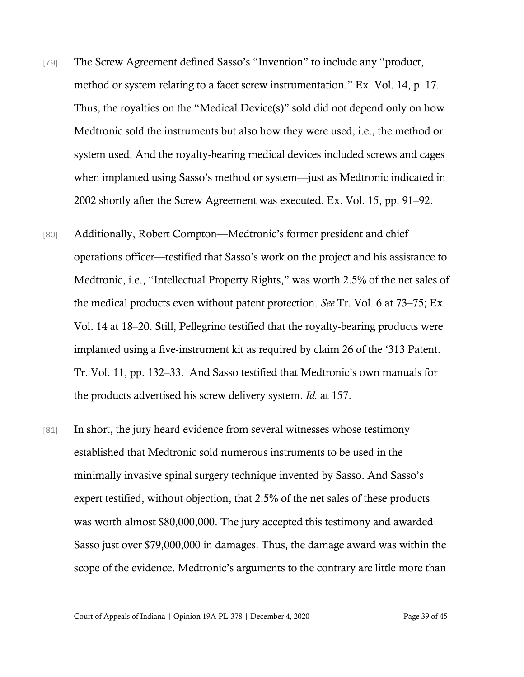- [79] The Screw Agreement defined Sasso's "Invention" to include any "product, method or system relating to a facet screw instrumentation." Ex. Vol. 14, p. 17. Thus, the royalties on the "Medical Device(s)" sold did not depend only on how Medtronic sold the instruments but also how they were used, i.e., the method or system used. And the royalty-bearing medical devices included screws and cages when implanted using Sasso's method or system—just as Medtronic indicated in 2002 shortly after the Screw Agreement was executed. Ex. Vol. 15, pp. 91–92.
- [80] Additionally, Robert Compton—Medtronic's former president and chief operations officer—testified that Sasso's work on the project and his assistance to Medtronic, i.e., "Intellectual Property Rights," was worth 2.5% of the net sales of the medical products even without patent protection. *See* Tr. Vol. 6 at 73–75; Ex. Vol. 14 at 18–20. Still, Pellegrino testified that the royalty-bearing products were implanted using a five-instrument kit as required by claim 26 of the '313 Patent. Tr. Vol. 11, pp. 132–33. And Sasso testified that Medtronic's own manuals for the products advertised his screw delivery system. *Id.* at 157.
- [81] In short, the jury heard evidence from several witnesses whose testimony established that Medtronic sold numerous instruments to be used in the minimally invasive spinal surgery technique invented by Sasso. And Sasso's expert testified, without objection, that 2.5% of the net sales of these products was worth almost \$80,000,000. The jury accepted this testimony and awarded Sasso just over \$79,000,000 in damages. Thus, the damage award was within the scope of the evidence. Medtronic's arguments to the contrary are little more than

Court of Appeals of Indiana | Opinion 19A-PL-378 | December 4, 2020 Page 39 of 45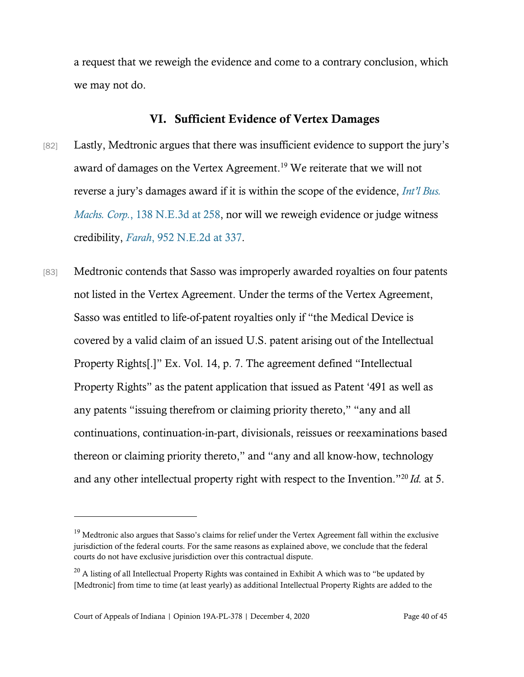a request that we reweigh the evidence and come to a contrary conclusion, which we may not do.

### VI. Sufficient Evidence of Vertex Damages

- [82] Lastly, Medtronic argues that there was insufficient evidence to support the jury's award of damages on the Vertex Agreement.<sup>19</sup> We reiterate that we will not reverse a jury's damages award if it is within the scope of the evidence, *[Int'l Bus.](https://www.westlaw.com/Document/If71ff5f0ec7011e990f2fe58d44ebc3e/View/FullText.html?transitionType=Default&contextData=(sc.Default)&VR=3.0&RS=da3.0&fragmentIdentifier=co_pp_sp_7902_258)  Machs. Corp.*[, 138 N.E.3d at 258,](https://www.westlaw.com/Document/If71ff5f0ec7011e990f2fe58d44ebc3e/View/FullText.html?transitionType=Default&contextData=(sc.Default)&VR=3.0&RS=da3.0&fragmentIdentifier=co_pp_sp_7902_258) nor will we reweigh evidence or judge witness credibility, *Farah*[, 952 N.E.2d at 337.](https://www.westlaw.com/Document/Iac43f40fc73a11e0bff4854fb99771ed/View/FullText.html?transitionType=Default&contextData=(sc.Default)&VR=3.0&RS=da3.0&fragmentIdentifier=co_pp_sp_578_337)
- [83] Medtronic contends that Sasso was improperly awarded royalties on four patents not listed in the Vertex Agreement. Under the terms of the Vertex Agreement, Sasso was entitled to life-of-patent royalties only if "the Medical Device is covered by a valid claim of an issued U.S. patent arising out of the Intellectual Property Rights[.]" Ex. Vol. 14, p. 7. The agreement defined "Intellectual Property Rights" as the patent application that issued as Patent '491 as well as any patents "issuing therefrom or claiming priority thereto," "any and all continuations, continuation-in-part, divisionals, reissues or reexaminations based thereon or claiming priority thereto," and "any and all know-how, technology and any other intellectual property right with respect to the Invention."<sup>20</sup> *Id.* at 5.

<sup>&</sup>lt;sup>19</sup> Medtronic also argues that Sasso's claims for relief under the Vertex Agreement fall within the exclusive jurisdiction of the federal courts. For the same reasons as explained above, we conclude that the federal courts do not have exclusive jurisdiction over this contractual dispute.

 $20$  A listing of all Intellectual Property Rights was contained in Exhibit A which was to "be updated by [Medtronic] from time to time (at least yearly) as additional Intellectual Property Rights are added to the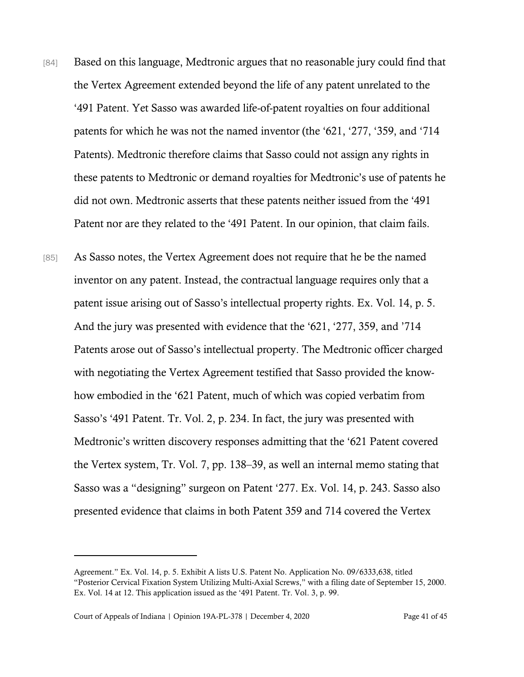- [84] Based on this language, Medtronic argues that no reasonable jury could find that the Vertex Agreement extended beyond the life of any patent unrelated to the '491 Patent. Yet Sasso was awarded life-of-patent royalties on four additional patents for which he was not the named inventor (the '621, '277, '359, and '714 Patents). Medtronic therefore claims that Sasso could not assign any rights in these patents to Medtronic or demand royalties for Medtronic's use of patents he did not own. Medtronic asserts that these patents neither issued from the '491 Patent nor are they related to the '491 Patent. In our opinion, that claim fails.
- [85] As Sasso notes, the Vertex Agreement does not require that he be the named inventor on any patent. Instead, the contractual language requires only that a patent issue arising out of Sasso's intellectual property rights. Ex. Vol. 14, p. 5. And the jury was presented with evidence that the '621, '277, 359, and '714 Patents arose out of Sasso's intellectual property. The Medtronic officer charged with negotiating the Vertex Agreement testified that Sasso provided the knowhow embodied in the '621 Patent, much of which was copied verbatim from Sasso's '491 Patent. Tr. Vol. 2, p. 234. In fact, the jury was presented with Medtronic's written discovery responses admitting that the '621 Patent covered the Vertex system, Tr. Vol. 7, pp. 138–39, as well an internal memo stating that Sasso was a "designing" surgeon on Patent '277. Ex. Vol. 14, p. 243. Sasso also presented evidence that claims in both Patent 359 and 714 covered the Vertex

Agreement." Ex. Vol. 14, p. 5. Exhibit A lists U.S. Patent No. Application No. 09/6333,638, titled "Posterior Cervical Fixation System Utilizing Multi-Axial Screws," with a filing date of September 15, 2000. Ex. Vol. 14 at 12. This application issued as the '491 Patent. Tr. Vol. 3, p. 99.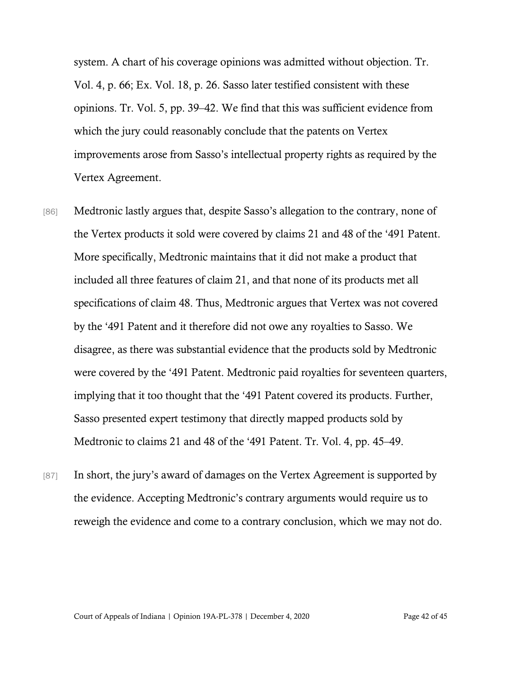system. A chart of his coverage opinions was admitted without objection. Tr. Vol. 4, p. 66; Ex. Vol. 18, p. 26. Sasso later testified consistent with these opinions. Tr. Vol. 5, pp. 39–42. We find that this was sufficient evidence from which the jury could reasonably conclude that the patents on Vertex improvements arose from Sasso's intellectual property rights as required by the Vertex Agreement.

- [86] Medtronic lastly argues that, despite Sasso's allegation to the contrary, none of the Vertex products it sold were covered by claims 21 and 48 of the '491 Patent. More specifically, Medtronic maintains that it did not make a product that included all three features of claim 21, and that none of its products met all specifications of claim 48. Thus, Medtronic argues that Vertex was not covered by the '491 Patent and it therefore did not owe any royalties to Sasso. We disagree, as there was substantial evidence that the products sold by Medtronic were covered by the '491 Patent. Medtronic paid royalties for seventeen quarters, implying that it too thought that the '491 Patent covered its products. Further, Sasso presented expert testimony that directly mapped products sold by Medtronic to claims 21 and 48 of the '491 Patent. Tr. Vol. 4, pp. 45–49.
- [87] In short, the jury's award of damages on the Vertex Agreement is supported by the evidence. Accepting Medtronic's contrary arguments would require us to reweigh the evidence and come to a contrary conclusion, which we may not do.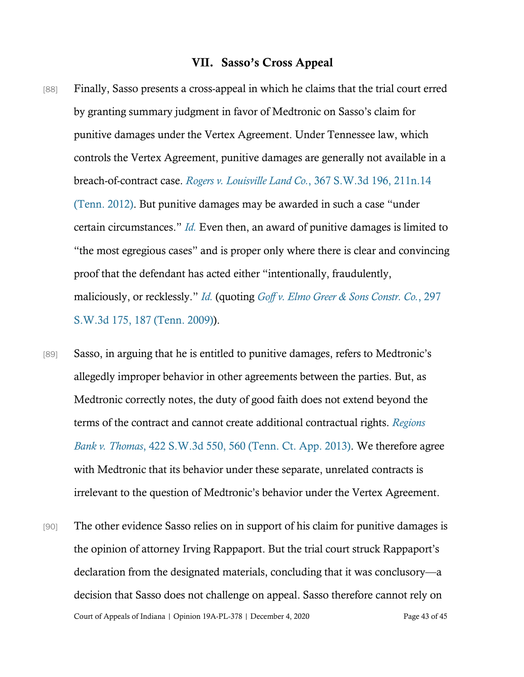## VII. Sasso's Cross Appeal

- [88] Finally, Sasso presents a cross-appeal in which he claims that the trial court erred by granting summary judgment in favor of Medtronic on Sasso's claim for punitive damages under the Vertex Agreement. Under Tennessee law, which controls the Vertex Agreement, punitive damages are generally not available in a breach-of-contract case. *Rogers v. Louisville Land Co.*[, 367 S.W.3d 196, 211n.14](https://www.westlaw.com/Document/I04717a968a5311e1be29b2facdefeebe/View/FullText.html?transitionType=Default&contextData=(sc.Default)&VR=3.0&RS=da3.0&fragmentIdentifier=co_pp_sp_4644_211) [\(Tenn. 2012\)](https://www.westlaw.com/Document/I04717a968a5311e1be29b2facdefeebe/View/FullText.html?transitionType=Default&contextData=(sc.Default)&VR=3.0&RS=da3.0&fragmentIdentifier=co_pp_sp_4644_211). But punitive damages may be awarded in such a case "under certain circumstances." *[Id.](https://www.westlaw.com/Document/I04717a968a5311e1be29b2facdefeebe/View/FullText.html?transitionType=Default&contextData=(sc.Default)&VR=3.0&RS=da3.0&fragmentIdentifier=co_pp_sp_4644_211)* Even then, an award of punitive damages is limited to "the most egregious cases" and is proper only where there is clear and convincing proof that the defendant has acted either "intentionally, fraudulently, maliciously, or recklessly." *[Id.](https://www.westlaw.com/Document/I04717a968a5311e1be29b2facdefeebe/View/FullText.html?transitionType=Default&contextData=(sc.Default)&VR=3.0&RS=da3.0&fragmentIdentifier=co_pp_sp_4644_211)* (quoting *[Goff v. Elmo Greer & Sons Constr. Co.](https://www.westlaw.com/Document/I61e74ddcc93211deb08de1b7506ad85b/View/FullText.html?transitionType=Default&contextData=(sc.Default)&VR=3.0&RS=da3.0&fragmentIdentifier=co_pp_sp_4644_187)*, 297 [S.W.3d 175, 187 \(Tenn. 2009\)\)](https://www.westlaw.com/Document/I61e74ddcc93211deb08de1b7506ad85b/View/FullText.html?transitionType=Default&contextData=(sc.Default)&VR=3.0&RS=da3.0&fragmentIdentifier=co_pp_sp_4644_187).
- [89] Sasso, in arguing that he is entitled to punitive damages, refers to Medtronic's allegedly improper behavior in other agreements between the parties. But, as Medtronic correctly notes, the duty of good faith does not extend beyond the terms of the contract and cannot create additional contractual rights. *[Regions](https://www.westlaw.com/Document/I9a71f2f785b511e280719c3f0e80bdd0/View/FullText.html?transitionType=Default&contextData=(sc.Default)&VR=3.0&RS=da3.0&fragmentIdentifier=co_pp_sp_4644_560)  Bank v. Thomas*[, 422 S.W.3d 550, 560 \(Tenn. Ct. App. 2013\).](https://www.westlaw.com/Document/I9a71f2f785b511e280719c3f0e80bdd0/View/FullText.html?transitionType=Default&contextData=(sc.Default)&VR=3.0&RS=da3.0&fragmentIdentifier=co_pp_sp_4644_560) We therefore agree with Medtronic that its behavior under these separate, unrelated contracts is irrelevant to the question of Medtronic's behavior under the Vertex Agreement.
- Court of Appeals of Indiana | Opinion 19A-PL-378 | December 4, 2020 Page 43 of 45 [90] The other evidence Sasso relies on in support of his claim for punitive damages is the opinion of attorney Irving Rappaport. But the trial court struck Rappaport's declaration from the designated materials, concluding that it was conclusory—a decision that Sasso does not challenge on appeal. Sasso therefore cannot rely on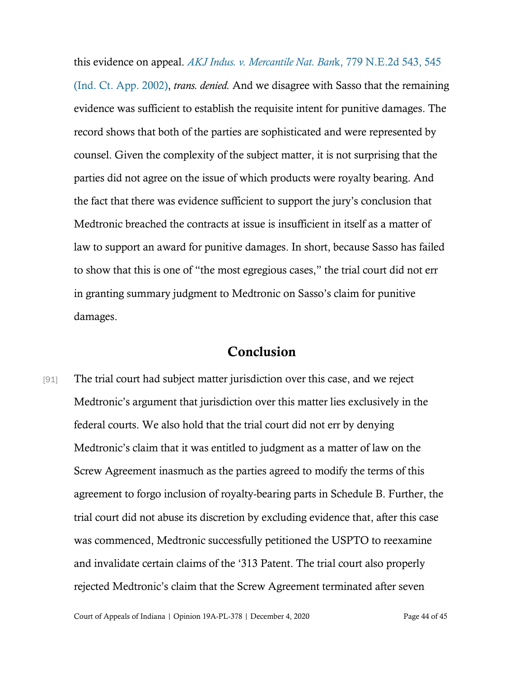this evidence on appeal. *[AKJ Indus. v. Mercantile Nat. Ban](https://www.westlaw.com/Document/I55bb1434d39211d9bf60c1d57ebc853e/View/FullText.html?transitionType=Default&contextData=(sc.Default)&VR=3.0&RS=da3.0&fragmentIdentifier=co_pp_sp_578_545)*k, 779 N.E.2d 543, 545 [\(Ind. Ct. App. 2002\),](https://www.westlaw.com/Document/I55bb1434d39211d9bf60c1d57ebc853e/View/FullText.html?transitionType=Default&contextData=(sc.Default)&VR=3.0&RS=da3.0&fragmentIdentifier=co_pp_sp_578_545) *trans. denied.* And we disagree with Sasso that the remaining evidence was sufficient to establish the requisite intent for punitive damages. The record shows that both of the parties are sophisticated and were represented by counsel. Given the complexity of the subject matter, it is not surprising that the parties did not agree on the issue of which products were royalty bearing. And the fact that there was evidence sufficient to support the jury's conclusion that Medtronic breached the contracts at issue is insufficient in itself as a matter of law to support an award for punitive damages. In short, because Sasso has failed to show that this is one of "the most egregious cases," the trial court did not err in granting summary judgment to Medtronic on Sasso's claim for punitive damages.

## Conclusion

[91] The trial court had subject matter jurisdiction over this case, and we reject Medtronic's argument that jurisdiction over this matter lies exclusively in the federal courts. We also hold that the trial court did not err by denying Medtronic's claim that it was entitled to judgment as a matter of law on the Screw Agreement inasmuch as the parties agreed to modify the terms of this agreement to forgo inclusion of royalty-bearing parts in Schedule B. Further, the trial court did not abuse its discretion by excluding evidence that, after this case was commenced, Medtronic successfully petitioned the USPTO to reexamine and invalidate certain claims of the '313 Patent. The trial court also properly rejected Medtronic's claim that the Screw Agreement terminated after seven